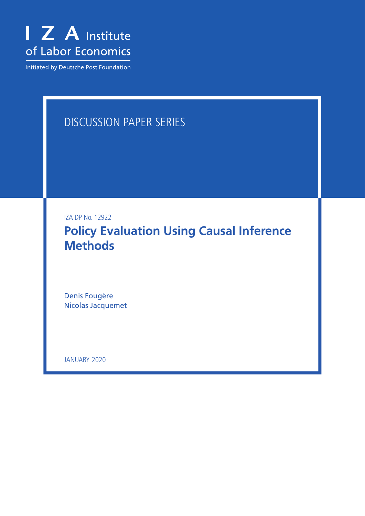

Initiated by Deutsche Post Foundation

# DISCUSSION PAPER SERIES

IZA DP No. 12922

**Policy Evaluation Using Causal Inference Methods**

Denis Fougère Nicolas Jacquemet

JANUARY 2020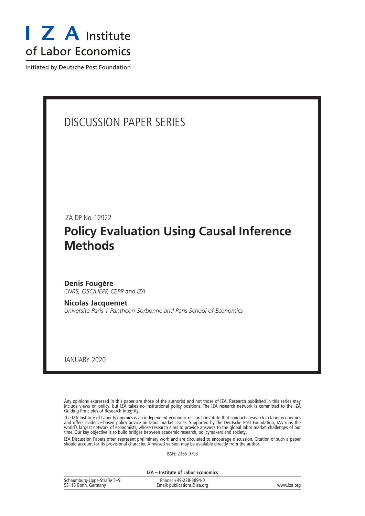

Initiated by Deutsche Post Foundation

# DISCUSSION PAPER SERIES

IZA DP No. 12922

# **Policy Evaluation Using Causal Inference Methods**

**Denis Fougère** *CNRS, OSC/LIEPP, CEPR and IZA*

**Nicolas Jacquemet** *Universite Paris 1 Pantheon-Sorbonne and Paris School of Economics*

JANUARY 2020

Any opinions expressed in this paper are those of the author(s) and not those of IZA. Research published in this series may include views on policy, but IZA takes no institutional policy positions. The IZA research network is committed to the IZA Guiding Principles of Research Integrity.

The IZA Institute of Labor Economics is an independent economic research institute that conducts research in labor economics and offers evidence-based policy advice on labor market issues. Supported by the Deutsche Post Foundation, IZA runs the world's largest network of economists, whose research aims to provide answers to the global labor market challenges of our time. Our key objective is to build bridges between academic research, policymakers and society.

IZA Discussion Papers often represent preliminary work and are circulated to encourage discussion. Citation of such a paper should account for its provisional character. A revised version may be available directly from the author.

ISSN: 2365-9793

**IZA – Institute of Labor Economics**

| Schaumburg-Lippe-Straße 5-9 | Phone: +49-228-3894-0       |             |
|-----------------------------|-----------------------------|-------------|
| 53113 Bonn, Germany         | Email: publications@iza.org | www.iza.org |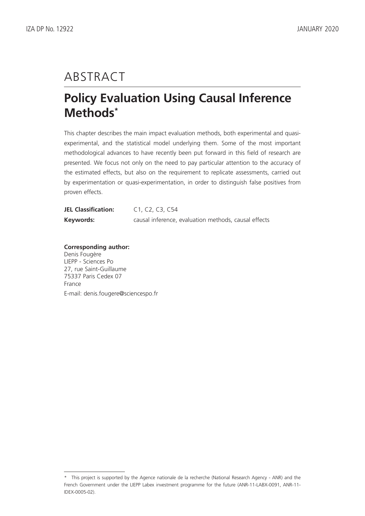# ABSTRACT

# **Policy Evaluation Using Causal Inference Methods\***

This chapter describes the main impact evaluation methods, both experimental and quasiexperimental, and the statistical model underlying them. Some of the most important methodological advances to have recently been put forward in this field of research are presented. We focus not only on the need to pay particular attention to the accuracy of the estimated effects, but also on the requirement to replicate assessments, carried out by experimentation or quasi-experimentation, in order to distinguish false positives from proven effects.

| <b>JEL Classification:</b> | C1, C2, C3, C54                                      |
|----------------------------|------------------------------------------------------|
| Keywords:                  | causal inference, evaluation methods, causal effects |

**Corresponding author:** Denis Fougère LIEPP - Sciences Po 27, rue Saint-Guillaume 75337 Paris Cedex 07 France E-mail: denis.fougere@sciencespo.fr

<sup>\*</sup> This project is supported by the Agence nationale de la recherche (National Research Agency - ANR) and the French Government under the LIEPP Labex investment programme for the future (ANR-11-LABX-0091, ANR-11- IDEX-0005-02).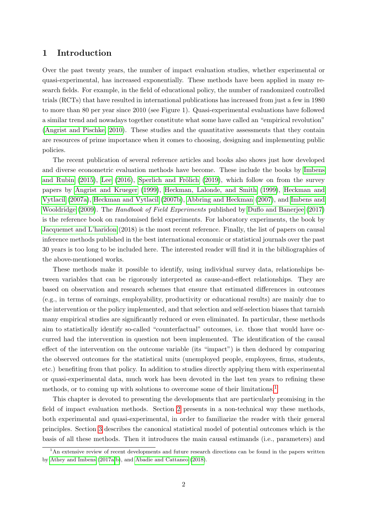### 1 Introduction

Over the past twenty years, the number of impact evaluation studies, whether experimental or quasi-experimental, has increased exponentially. These methods have been applied in many research fields. For example, in the field of educational policy, the number of randomized controlled trials (RCTs) that have resulted in international publications has increased from just a few in 1980 to more than 80 per year since 2010 (see Figure 1). Quasi-experimental evaluations have followed a similar trend and nowadays together constitute what some have called an "empirical revolution" [\(Angrist and Pischke, 2010\)](#page-31-0). These studies and the quantitative assessments that they contain are resources of prime importance when it comes to choosing, designing and implementing public policies.

The recent publication of several reference articles and books also shows just how developed and diverse econometric evaluation methods have become. These include the books by [Imbens](#page-33-0) [and Rubin](#page-33-0)  $(2015)$ , [Lee](#page-34-0)  $(2016)$ , Sperlich and Frölich  $(2019)$ , which follow on from the survey papers by [Angrist and Krueger](#page-31-1) [\(1999\)](#page-31-1), [Heckman, Lalonde, and Smith](#page-33-1) [\(1999\)](#page-33-1), [Heckman and](#page-33-2) [Vytlacil](#page-33-2) [\(2007a\)](#page-33-2), [Heckman and Vytlacil](#page-33-3) [\(2007b\)](#page-33-3), [Abbring and Heckman](#page-30-0) [\(2007\)](#page-30-0), and [Imbens and](#page-34-1) [Wooldridge](#page-34-1) [\(2009\)](#page-34-1). The *Handbook of Field Experiments* published by [Duflo and Banerjee](#page-32-0) [\(2017\)](#page-32-0) is the reference book on randomised field experiments. For laboratory experiments, the book by [Jacquemet and L'haridon](#page-34-2) (2018) is the most recent reference. Finally, the list of papers on causal inference methods published in the best international economic or statistical journals over the past 30 years is too long to be included here. The interested reader will find it in the bibliographies of the above-mentioned works.

These methods make it possible to identify, using individual survey data, relationships between variables that can be rigorously interpreted as cause-and-effect relationships. They are based on observation and research schemes that ensure that estimated differences in outcomes (e.g., in terms of earnings, employability, productivity or educational results) are mainly due to the intervention or the policy implemented, and that selection and self-selection biases that tarnish many empirical studies are significantly reduced or even eliminated. In particular, these methods aim to statistically identify so-called "counterfactual" outcomes, i.e. those that would have occurred had the intervention in question not been implemented. The identification of the causal effect of the intervention on the outcome variable (its "impact") is then deduced by comparing the observed outcomes for the statistical units (unemployed people, employees, firms, students, etc.) benefiting from that policy. In addition to studies directly applying them with experimental or quasi-experimental data, much work has been devoted in the last ten years to refining these methods, or to coming up with solutions to overcome some of their limitations.[1](#page-3-0)

This chapter is devoted to presenting the developments that are particularly promising in the field of impact evaluation methods. Section [2](#page-4-0) presents in a non-technical way these methods, both experimental and quasi-experimental, in order to familiarize the reader with their general principles. Section [3](#page-7-0) describes the canonical statistical model of potential outcomes which is the basis of all these methods. Then it introduces the main causal estimands (i.e., parameters) and

<span id="page-3-0"></span><sup>&</sup>lt;sup>1</sup>An extensive review of recent developments and future research directions can be found in the papers written by [Athey and Imbens](#page-31-2) [\(2017a](#page-31-2)[,b\)](#page-31-3), and [Abadie and Cattaneo](#page-30-1) [\(2018\)](#page-30-1).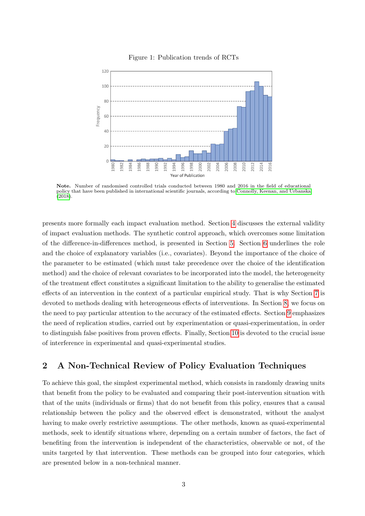

#### Figure 1: Publication trends of RCTs

Note. Number of randomised controlled trials conducted between 1980 and 2016 in the field of educational policy that have been published in international scientific journals, according to [Connolly, Keenan, and Urbanska](#page-32-1)  $(2018)$ .

**Year of Publication** 

presents more formally each impact evaluation method. Section [4](#page-16-0) discusses the external validity of impact evaluation methods. The synthetic control approach, which overcomes some limitation of the difference-in-differences method, is presented in Section [5.](#page-18-0) Section [6](#page-19-0) underlines the role and the choice of explanatory variables (i.e., covariates). Beyond the importance of the choice of the parameter to be estimated (which must take precedence over the choice of the identification method) and the choice of relevant covariates to be incorporated into the model, the heterogeneity of the treatment effect constitutes a significant limitation to the ability to generalise the estimated effects of an intervention in the context of a particular empirical study. That is why Section [7](#page-21-0) is devoted to methods dealing with heterogeneous effects of interventions. In Section [8,](#page-23-0) we focus on the need to pay particular attention to the accuracy of the estimated effects. Section [9](#page-24-0) emphasizes the need of replication studies, carried out by experimentation or quasi-experimentation, in order to distinguish false positives from proven effects. Finally, Section [10](#page-26-0) is devoted to the crucial issue of interference in experimental and quasi-experimental studies.

## <span id="page-4-0"></span>2 A Non-Technical Review of Policy Evaluation Techniques

To achieve this goal, the simplest experimental method, which consists in randomly drawing units that benefit from the policy to be evaluated and comparing their post-intervention situation with that of the units (individuals or firms) that do not benefit from this policy, ensures that a causal relationship between the policy and the observed effect is demonstrated, without the analyst having to make overly restrictive assumptions. The other methods, known as quasi-experimental methods, seek to identify situations where, depending on a certain number of factors, the fact of benefiting from the intervention is independent of the characteristics, observable or not, of the units targeted by that intervention. These methods can be grouped into four categories, which are presented below in a non-technical manner.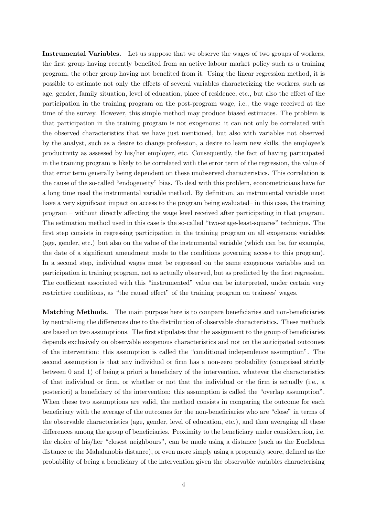Instrumental Variables. Let us suppose that we observe the wages of two groups of workers, the first group having recently benefited from an active labour market policy such as a training program, the other group having not benefited from it. Using the linear regression method, it is possible to estimate not only the effects of several variables characterizing the workers, such as age, gender, family situation, level of education, place of residence, etc., but also the effect of the participation in the training program on the post-program wage, i.e., the wage received at the time of the survey. However, this simple method may produce biased estimates. The problem is that participation in the training program is not exogenous: it can not only be correlated with the observed characteristics that we have just mentioned, but also with variables not observed by the analyst, such as a desire to change profession, a desire to learn new skills, the employee's productivity as assessed by his/her employer, etc. Consequently, the fact of having participated in the training program is likely to be correlated with the error term of the regression, the value of that error term generally being dependent on these unobserved characteristics. This correlation is the cause of the so-called "endogeneity" bias. To deal with this problem, econometricians have for a long time used the instrumental variable method. By definition, an instrumental variable must have a very significant impact on access to the program being evaluated– in this case, the training program – without directly affecting the wage level received after participating in that program. The estimation method used in this case is the so-called "two-stage-least-squares" technique. The first step consists in regressing participation in the training program on all exogenous variables (age, gender, etc.) but also on the value of the instrumental variable (which can be, for example, the date of a significant amendment made to the conditions governing access to this program). In a second step, individual wages must be regressed on the same exogenous variables and on participation in training program, not as actually observed, but as predicted by the first regression. The coefficient associated with this "instrumented" value can be interpreted, under certain very restrictive conditions, as "the causal effect" of the training program on trainees' wages.

Matching Methods. The main purpose here is to compare beneficiaries and non-beneficiaries by neutralising the differences due to the distribution of observable characteristics. These methods are based on two assumptions. The first stipulates that the assignment to the group of beneficiaries depends exclusively on observable exogenous characteristics and not on the anticipated outcomes of the intervention: this assumption is called the "conditional independence assumption". The second assumption is that any individual or firm has a non-zero probability (comprised strictly between 0 and 1) of being a priori a beneficiary of the intervention, whatever the characteristics of that individual or firm, or whether or not that the individual or the firm is actually (i.e., a posteriori) a beneficiary of the intervention: this assumption is called the "overlap assumption". When these two assumptions are valid, the method consists in comparing the outcome for each beneficiary with the average of the outcomes for the non-beneficiaries who are "close" in terms of the observable characteristics (age, gender, level of education, etc.), and then averaging all these differences among the group of beneficiaries. Proximity to the beneficiary under consideration, i.e. the choice of his/her "closest neighbours", can be made using a distance (such as the Euclidean distance or the Mahalanobis distance), or even more simply using a propensity score, defined as the probability of being a beneficiary of the intervention given the observable variables characterising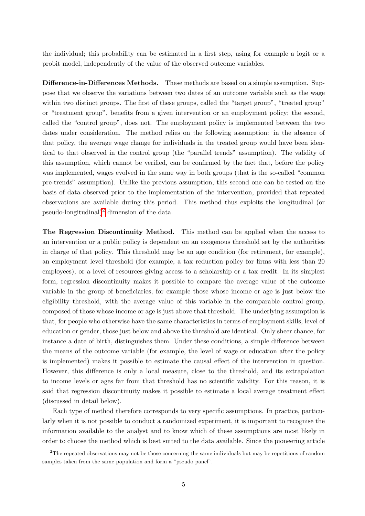the individual; this probability can be estimated in a first step, using for example a logit or a probit model, independently of the value of the observed outcome variables.

Difference-in-Differences Methods. These methods are based on a simple assumption. Suppose that we observe the variations between two dates of an outcome variable such as the wage within two distinct groups. The first of these groups, called the "target group", "treated group" or "treatment group", benefits from a given intervention or an employment policy; the second, called the "control group", does not. The employment policy is implemented between the two dates under consideration. The method relies on the following assumption: in the absence of that policy, the average wage change for individuals in the treated group would have been identical to that observed in the control group (the "parallel trends" assumption). The validity of this assumption, which cannot be verified, can be confirmed by the fact that, before the policy was implemented, wages evolved in the same way in both groups (that is the so-called "common pre-trends" assumption). Unlike the previous assumption, this second one can be tested on the basis of data observed prior to the implementation of the intervention, provided that repeated observations are available during this period. This method thus exploits the longitudinal (or pseudo-longitudinal)<sup>[2](#page-6-0)</sup> dimension of the data.

The Regression Discontinuity Method. This method can be applied when the access to an intervention or a public policy is dependent on an exogenous threshold set by the authorities in charge of that policy. This threshold may be an age condition (for retirement, for example), an employment level threshold (for example, a tax reduction policy for firms with less than 20 employees), or a level of resources giving access to a scholarship or a tax credit. In its simplest form, regression discontinuity makes it possible to compare the average value of the outcome variable in the group of beneficiaries, for example those whose income or age is just below the eligibility threshold, with the average value of this variable in the comparable control group, composed of those whose income or age is just above that threshold. The underlying assumption is that, for people who otherwise have the same characteristics in terms of employment skills, level of education or gender, those just below and above the threshold are identical. Only sheer chance, for instance a date of birth, distinguishes them. Under these conditions, a simple difference between the means of the outcome variable (for example, the level of wage or education after the policy is implemented) makes it possible to estimate the causal effect of the intervention in question. However, this difference is only a local measure, close to the threshold, and its extrapolation to income levels or ages far from that threshold has no scientific validity. For this reason, it is said that regression discontinuity makes it possible to estimate a local average treatment effect (discussed in detail below).

Each type of method therefore corresponds to very specific assumptions. In practice, particularly when it is not possible to conduct a randomized experiment, it is important to recognise the information available to the analyst and to know which of these assumptions are most likely in order to choose the method which is best suited to the data available. Since the pioneering article

<span id="page-6-0"></span><sup>2</sup>The repeated observations may not be those concerning the same individuals but may be repetitions of random samples taken from the same population and form a "pseudo panel".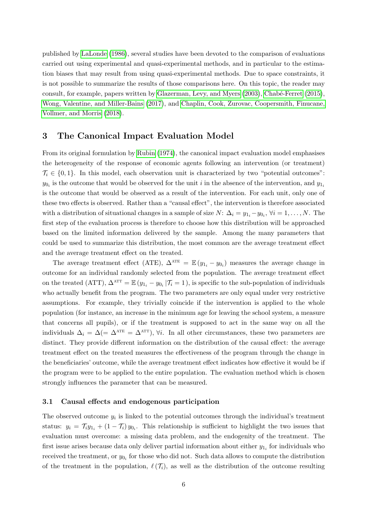published by [LaLonde](#page-34-3) [\(1986\)](#page-34-3), several studies have been devoted to the comparison of evaluations carried out using experimental and quasi-experimental methods, and in particular to the estimation biases that may result from using quasi-experimental methods. Due to space constraints, it is not possible to summarize the results of those comparisons here. On this topic, the reader may consult, for example, papers written by [Glazerman, Levy, and Myers](#page-33-4)  $(2003)$ , Chabé-Ferret  $(2015)$ , [Wong, Valentine, and Miller-Bains](#page-36-0) [\(2017\)](#page-36-0), and [Chaplin, Cook, Zurovac, Coopersmith, Finucane,](#page-32-3) [Vollmer, and Morris](#page-32-3) [\(2018\)](#page-32-3).

### <span id="page-7-0"></span>3 The Canonical Impact Evaluation Model

From its original formulation by [Rubin](#page-35-1) [\(1974\)](#page-35-1), the canonical impact evaluation model emphasises the heterogeneity of the response of economic agents following an intervention (or treatment)  $\mathcal{T}_i \in \{0,1\}$ . In this model, each observation unit is characterized by two "potential outcomes":  $y_{0_i}$  is the outcome that would be observed for the unit i in the absence of the intervention, and  $y_{1_i}$ is the outcome that would be observed as a result of the intervention. For each unit, only one of these two effects is observed. Rather than a "causal effect", the intervention is therefore associated with a distribution of situational changes in a sample of size  $N: \Delta_i = y_{1_i} - y_{0_i}, \forall i = 1, ..., N$ . The first step of the evaluation process is therefore to choose how this distribution will be approached based on the limited information delivered by the sample. Among the many parameters that could be used to summarize this distribution, the most common are the average treatment effect and the average treatment effect on the treated.

The average treatment effect (ATE),  $\Delta^{\text{ATE}} = \mathbb{E}(y_{1_i} - y_{0_i})$  measures the average change in outcome for an individual randomly selected from the population. The average treatment effect on the treated (ATT),  $\Delta^{\text{ATT}} = \mathbb{E} (y_{1_i} - y_{0_i} | \mathcal{T}_i = 1)$ , is specific to the sub-population of individuals who actually benefit from the program. The two parameters are only equal under very restrictive assumptions. For example, they trivially coincide if the intervention is applied to the whole population (for instance, an increase in the minimum age for leaving the school system, a measure that concerns all pupils), or if the treatment is supposed to act in the same way on all the individuals  $\Delta_i = \Delta (= \Delta^{\text{ATE}} = \Delta^{\text{ATT}})$ ,  $\forall i$ . In all other circumstances, these two parameters are distinct. They provide different information on the distribution of the causal effect: the average treatment effect on the treated measures the effectiveness of the program through the change in the beneficiaries' outcome, while the average treatment effect indicates how effective it would be if the program were to be applied to the entire population. The evaluation method which is chosen strongly influences the parameter that can be measured.

#### <span id="page-7-1"></span>3.1 Causal effects and endogenous participation

The observed outcome  $y_i$  is linked to the potential outcomes through the individual's treatment status:  $y_i = \mathcal{T}_i y_{1_i} + (1 - \mathcal{T}_i) y_{0_i}$ . This relationship is sufficient to highlight the two issues that evaluation must overcome: a missing data problem, and the endogenity of the treatment. The first issue arises because data only deliver partial information about either  $y_{1_i}$  for individuals who received the treatment, or  $y_{0_i}$  for those who did not. Such data allows to compute the distribution of the treatment in the population,  $\ell(\mathcal{T}_i)$ , as well as the distribution of the outcome resulting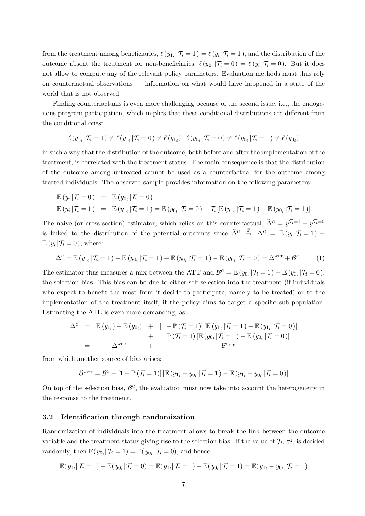from the treatment among beneficiaries,  $\ell(y_{1_i} | \mathcal{T}_i = 1) = \ell(y_i | \mathcal{T}_i = 1)$ , and the distribution of the outcome absent the treatment for non-beneficiaries,  $\ell(y_{0_i} | \mathcal{T}_i = 0) = \ell(y_i | \mathcal{T}_i = 0)$ . But it does not allow to compute any of the relevant policy parameters. Evaluation methods must thus rely on counterfactual observations — information on what would have happened in a state of the world that is not observed.

Finding counterfactuals is even more challenging because of the second issue, i.e., the endogenous program participation, which implies that these conditional distributions are different from the conditional ones:

$$
\ell(y_{1_i} | \mathcal{T}_i = 1) \neq \ell(y_{1_i} | \mathcal{T}_i = 0) \neq \ell(y_{1_i}), \ell(y_{0_i} | \mathcal{T}_i = 0) \neq \ell(y_{0_i} | \mathcal{T}_i = 1) \neq \ell(y_{0_i})
$$

in such a way that the distribution of the outcome, both before and after the implementation of the treatment, is correlated with the treatment status. The main consequence is that the distribution of the outcome among untreated cannot be used as a counterfactual for the outcome among treated individuals. The observed sample provides information on the following parameters:

$$
\mathbb{E}(y_i | \mathcal{T}_i = 0) = \mathbb{E}(y_{0_i} | \mathcal{T}_i = 0)
$$
  

$$
\mathbb{E}(y_i | \mathcal{T}_i = 1) = \mathbb{E}(y_{1_i} | \mathcal{T}_i = 1) = \mathbb{E}(y_{0_i} | \mathcal{T}_i = 0) + \mathcal{T}_i [\mathbb{E}(y_{1_i} | \mathcal{T}_i = 1) - \mathbb{E}(y_{0_i} | \mathcal{T}_i = 1)]
$$

The naive (or cross-section) estimator, which relies on this counterfactual,  $\hat{\Delta}^c = \overline{y}^{\mathcal{T}_{i}=1} - \overline{y}^{\mathcal{T}_{i}=0}$ is linked to the distribution of the potential outcomes since  $\hat{\Delta}^c \stackrel{\mathbb{P}}{\rightarrow} \Delta^c = \mathbb{E}(y_i | \mathcal{T}_i = 1)$  $\mathbb{E}\left(y_i\left\vert \mathcal{T}_i\right.\right.=0\right),\,\text{where:}$ 

$$
\Delta^{\mathcal{C}} = \mathbb{E}\left(y_{1_i} \,|\mathcal{T}_i = 1\right) - \mathbb{E}\left(y_{0_i} \,|\mathcal{T}_i = 1\right) + \mathbb{E}\left(y_{0_i} \,|\mathcal{T}_i = 1\right) - \mathbb{E}\left(y_{0_i} \,|\mathcal{T}_i = 0\right) = \Delta^{\text{ATT}} + \mathcal{B}^{\mathcal{C}}
$$
 (1)

The estimator thus measures a mix between the ATT and  $\mathcal{B}^{\mathcal{C}} = \mathbb{E}(y_{0_i} | \mathcal{T}_i = 1) - \mathbb{E}(y_{0_i} | \mathcal{T}_i = 0)$ , the selection bias. This bias can be due to either self-selection into the treatment (if individuals who expect to benefit the most from it decide to participate, namely to be treated) or to the implementation of the treatment itself, if the policy aims to target a specific sub-population. Estimating the ATE is even more demanding, as:

$$
\Delta^{\mathcal{C}} = \mathbb{E}(y_{1_i}) - \mathbb{E}(y_{0_i}) + [1 - \mathbb{P}(\mathcal{T}_i = 1)] [\mathbb{E}(y_{1_i} | \mathcal{T}_i = 1) - \mathbb{E}(y_{1_i} | \mathcal{T}_i = 0)] \n+ \mathbb{P}(\mathcal{T}_i = 1) [\mathbb{E}(y_{0_i} | \mathcal{T}_i = 1) - \mathbb{E}(y_{0_i} | \mathcal{T}_i = 0)] \n= \Delta^{\text{ATE}} + \mathcal{B}^{\text{C}_{\text{ATE}}}
$$

from which another source of bias arises:

$$
\mathcal{B}^{\mathrm{C}_{\mathrm{ATE}}} = \mathcal{B}^{\mathrm{C}} + \left[1 - \mathbb{P}\left(\mathcal{T}_{i} = 1\right)\right] \left[\mathbb{E}\left(y_{1_{i}} - y_{0_{i}}\left|\mathcal{T}_{i} = 1\right.\right) - \mathbb{E}\left(y_{1_{i}} - y_{0_{i}}\left|\mathcal{T}_{i} = 0\right.\right)\right]
$$

On top of the selection bias,  $\mathcal{B}^{\mathcal{C}}$ , the evaluation must now take into account the heterogeneity in the response to the treatment.

#### 3.2 Identification through randomization

Randomization of individuals into the treatment allows to break the link between the outcome variable and the treatment status giving rise to the selection bias. If the value of  $\mathcal{T}_i$ ,  $\forall i$ , is decided randomly, then  $\mathbb{E}(y_{0_i} | \mathcal{T}_i = 1) = \mathbb{E}(y_{0_i} | \mathcal{T}_i = 0)$ , and hence:

$$
\mathbb{E}(y_{1_i}|\mathcal{T}_i=1) - \mathbb{E}(y_{0_i}|\mathcal{T}_i=0) = \mathbb{E}(y_{1_i}|\mathcal{T}_i=1) - \mathbb{E}(y_{0_i}|\mathcal{T}_i=1) = \mathbb{E}(y_{1_i} - y_{0_i}|\mathcal{T}_i=1)
$$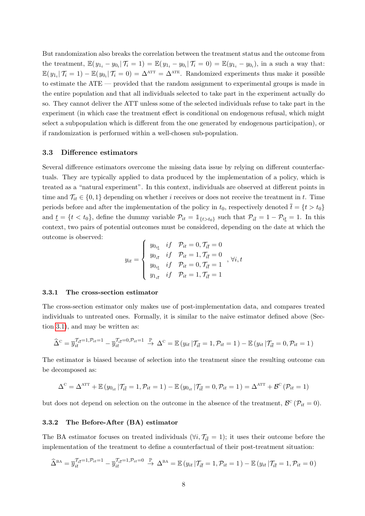But randomization also breaks the correlation between the treatment status and the outcome from the treatment,  $\mathbb{E}(y_{1_i} - y_{0_i} | \mathcal{T}_i = 1) = \mathbb{E}(y_{1_i} - y_{0_i} | \mathcal{T}_i = 0) = \mathbb{E}(y_{1_i} - y_{0_i})$ , in a such a way that:  $\mathbb{E}(y_{1_i}|\mathcal{T}_i=1) - \mathbb{E}(y_{0_i}|\mathcal{T}_i=0) = \Delta^{\text{ATT}} = \Delta^{\text{ATE}}$ . Randomized experiments thus make it possible to estimate the ATE — provided that the random assignment to experimental groups is made in the entire population and that all individuals selected to take part in the experiment actually do so. They cannot deliver the ATT unless some of the selected individuals refuse to take part in the experiment (in which case the treatment effect is conditional on endogenous refusal, which might select a subpopulation which is different from the one generated by endogenous participation), or if randomization is performed within a well-chosen sub-population.

#### 3.3 Difference estimators

Several difference estimators overcome the missing data issue by relying on different counterfactuals. They are typically applied to data produced by the implementation of a policy, which is treated as a "natural experiment". In this context, individuals are observed at different points in time and  $\mathcal{T}_{it} \in \{0,1\}$  depending on whether *i* receives or does not receive the treatment in t. Time periods before and after the implementation of the policy in  $t_0$ , respectively denoted  $\bar{t} = \{t > t_0\}$ and  $\underline{t} = \{t < t_0\}$ , define the dummy variable  $\mathcal{P}_{it} = \mathbb{1}_{\{t > t_0\}}$  such that  $\mathcal{P}_{i\overline{t}} = 1 - \mathcal{P}_{i\underline{t}} = 1$ . In this context, two pairs of potential outcomes must be considered, depending on the date at which the outcome is observed:

$$
y_{it} = \begin{cases} y_{0_{i\underline{t}}} & if \quad \mathcal{P}_{it} = 0, \mathcal{T}_{i\overline{t}} = 0 \\ y_{0_{i\overline{t}}} & if \quad \mathcal{P}_{it} = 1, \mathcal{T}_{i\overline{t}} = 0 \\ y_{0_{i\underline{t}}} & if \quad \mathcal{P}_{it} = 0, \mathcal{T}_{i\overline{t}} = 1 \\ y_{1_{i\overline{t}}} & if \quad \mathcal{P}_{it} = 1, \mathcal{T}_{i\overline{t}} = 1 \end{cases}, \forall i, t
$$

#### 3.3.1 The cross-section estimator

The cross-section estimator only makes use of post-implementation data, and compares treated individuals to untreated ones. Formally, it is similar to the naive estimator defined above (Section [3.1\)](#page-7-1), and may be written as:

$$
\widehat{\Delta}^{\mathcal{C}} = \overline{y}_{it}^{\mathcal{T}_{i\overline{t}}=1,\mathcal{P}_{it}=1} - \overline{y}_{it}^{\mathcal{T}_{i\overline{t}}=0,\mathcal{P}_{it}=1} \xrightarrow{\mathbb{P}} \Delta^{\mathcal{C}} = \mathbb{E}(y_{it} | \mathcal{T}_{i\overline{t}}=1,\mathcal{P}_{it}=1) - \mathbb{E}(y_{it} | \mathcal{T}_{i\overline{t}}=0,\mathcal{P}_{it}=1)
$$

The estimator is biased because of selection into the treatment since the resulting outcome can be decomposed as:

$$
\Delta^{\text{c}} = \Delta^{\text{ATT}} + \mathbb{E}\left(y_{0_{it}}\left|\mathcal{T}_{i\bar{t}}=1, \mathcal{P}_{it}=1\right.\right) - \mathbb{E}\left(y_{0_{it}}\left|\mathcal{T}_{i\bar{t}}=0, \mathcal{P}_{it}=1\right.\right) = \Delta^{\text{ATT}} + \mathcal{B}^{\text{C}}\left(\mathcal{P}_{it}=1\right)
$$

but does not depend on selection on the outcome in the absence of the treatment,  $\mathcal{B}^{\mathcal{C}}(\mathcal{P}_{it}=0)$ .

#### 3.3.2 The Before-After (BA) estimator

The BA estimator focuses on treated individuals ( $\forall i, \mathcal{T}_{i\bar{i}} = 1$ ); it uses their outcome before the implementation of the treatment to define a counterfactual of their post-treatment situation:

$$
\widehat{\Delta}^{\text{BA}} = \overline{y}_{it}^{\mathcal{T}_{i\bar{t}}=1,\mathcal{P}_{it}=1} - \overline{y}_{it}^{\mathcal{T}_{i\bar{t}}=1,\mathcal{P}_{it}=0} \xrightarrow{\mathbb{P}} \Delta^{\text{BA}} = \mathbb{E}(y_{it} | \mathcal{T}_{i\bar{t}}=1, \mathcal{P}_{it}=1) - \mathbb{E}(y_{it} | \mathcal{T}_{i\bar{t}}=1, \mathcal{P}_{it}=0)
$$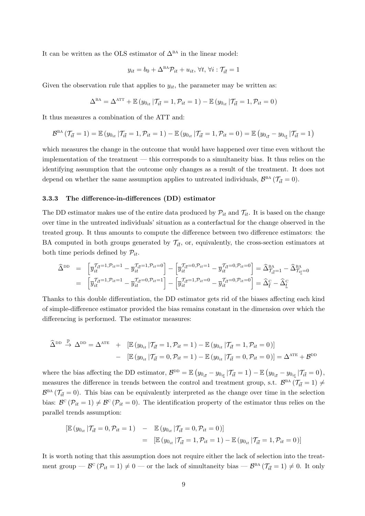It can be written as the OLS estimator of  $\Delta^{BA}$  in the linear model:

$$
y_{it} = b_0 + \Delta^{\text{BA}} \mathcal{P}_{it} + u_{it}, \forall t, \forall i : \mathcal{T}_{i\bar{t}} = 1
$$

Given the observation rule that applies to  $y_{it}$ , the parameter may be written as:

$$
\Delta^{\text{BA}} = \Delta^{\text{ATT}} + \mathbb{E} \left( y_{0_{it}} \, | \mathcal{T}_{i\bar{t}} = 1, \mathcal{P}_{it} = 1 \right) - \mathbb{E} \left( y_{0_{it}} \, | \mathcal{T}_{i\bar{t}} = 1, \mathcal{P}_{it} = 0 \right)
$$

It thus measures a combination of the ATT and:

$$
\mathcal{B}^{\text{BA}}\left(\mathcal{T}_{i\bar{t}}=1\right)=\mathbb{E}\left(y_{0_{it}}\left|\mathcal{T}_{i\bar{t}}=1,\mathcal{P}_{it}=1\right.\right)-\mathbb{E}\left(y_{0_{it}}\left|\mathcal{T}_{i\bar{t}}=1,\mathcal{P}_{it}=0\right.\right)=\mathbb{E}\left(y_{0_{i\bar{t}}}-y_{0_{i\underline{t}}}\left|\mathcal{T}_{i\bar{t}}=1\right.\right)
$$

which measures the change in the outcome that would have happened over time even without the implementation of the treatment — this corresponds to a simultaneity bias. It thus relies on the identifying assumption that the outcome only changes as a result of the treatment. It does not depend on whether the same assumption applies to untreated individuals,  $\mathcal{B}^{\text{BA}}(\mathcal{T}_{i\bar{t}}=0)$ .

#### 3.3.3 The difference-in-differences (DD) estimator

The DD estimator makes use of the entire data produced by  $\mathcal{P}_{it}$  and  $\mathcal{T}_{it}$ . It is based on the change over time in the untreated individuals' situation as a conterfactual for the change observed in the treated group. It thus amounts to compute the difference between two difference estimators: the BA computed in both groups generated by  $\mathcal{T}_{i\bar{t}}$ , or, equivalently, the cross-section estimators at both time periods defined by  $\mathcal{P}_{it}$ .

$$
\begin{array}{lll} \widehat{\Delta}^{\text{DD}} & = & \left[ \overline{y}_{it}^{\mathcal{T}_{i\bar{t}}=1,\mathcal{P}_{it}=1} - \overline{y}_{it}^{\mathcal{T}_{i\bar{t}}=1,\mathcal{P}_{it}=0} \right] - \left[ \overline{y}_{it}^{\mathcal{T}_{i\bar{t}}=0,\mathcal{P}_{it}=1} - \overline{y}_{it}^{\mathcal{T}_{i\bar{t}}=0,\mathcal{P}_{it}=0} \right] = \widehat{\Delta}^{\text{BA}}_{\mathcal{T}_{i\bar{t}}=1} - \widehat{\Delta}^{\text{BA}}_{\mathcal{T}_{i\bar{t}}=0} \\ & = & \left[ \overline{y}_{it}^{\mathcal{T}_{i\bar{t}}=1,\mathcal{P}_{it}=1} - \overline{y}_{it}^{\mathcal{T}_{i\bar{t}}=0,\mathcal{P}_{it}=1} \right] - \left[ \overline{y}_{it}^{\mathcal{T}_{i\bar{t}}=1,\mathcal{P}_{it}=0} - \overline{y}_{it}^{\mathcal{T}_{i\bar{t}}=0,\mathcal{P}_{it}=0} \right] = \widehat{\Delta}^{\text{C}}_{\bar{t}} - \widehat{\Delta}^{\text{C}}_{\underline{t}} \end{array}
$$

Thanks to this double differentiation, the DD estimator gets rid of the biases affecting each kind of simple-difference estimator provided the bias remains constant in the dimension over which the differencing is performed. The estimator measures:

$$
\widehat{\Delta}^{\text{DD}} \stackrel{\mathbb{P}}{\rightarrow} \Delta^{\text{DD}} = \Delta^{\text{ATE}} + [\mathbb{E}(y_{0_{it}} | \mathcal{T}_{i\bar{t}} = 1, \mathcal{P}_{it} = 1) - \mathbb{E}(y_{0_{it}} | \mathcal{T}_{i\bar{t}} = 1, \mathcal{P}_{it} = 0)] - [\mathbb{E}(y_{0_{it}} | \mathcal{T}_{i\bar{t}} = 0, \mathcal{P}_{it} = 1) - \mathbb{E}(y_{0_{it}} | \mathcal{T}_{i\bar{t}} = 0, \mathcal{P}_{it} = 0)] = \Delta^{\text{ATE}} + \mathcal{B}^{\text{DD}}
$$

where the bias affecting the DD estimator,  $\mathcal{B}^{\text{DD}} = \mathbb{E} (y_{0_{i\bar{t}}} - y_{0_{i\underline{t}}} | \mathcal{T}_{i\bar{t}} = 1) - \mathbb{E} (y_{0_{i\bar{t}}} - y_{0_{i\underline{t}}} | \mathcal{T}_{i\bar{t}} = 0)$ , measures the difference in trends between the control and treatment group, s.t.  $\mathcal{B}^{BA}(\mathcal{T}_{i\bar{t}}=1) \neq$  $\mathcal{B}^{\text{BA}}(\mathcal{T}_{i\bar{t}}=0)$ . This bias can be equivalently interpreted as the change over time in the selection bias:  $\mathcal{B}^c(\mathcal{P}_{it} = 1) \neq \mathcal{B}^c(\mathcal{P}_{it} = 0)$ . The identification property of the estimator thus relies on the parallel trends assumption:

$$
\begin{aligned} \left[ \mathbb{E} \left( y_{0_{it}} \, | \mathcal{T}_{i\bar{t}} = 0, \mathcal{P}_{it} = 1 \right) & - \mathbb{E} \left( y_{0_{it}} \, | \mathcal{T}_{i\bar{t}} = 0, \mathcal{P}_{it} = 0 \right) \right] \\ & = \left[ \mathbb{E} \left( y_{0_{it}} \, | \mathcal{T}_{i\bar{t}} = 1, \mathcal{P}_{it} = 1 \right) - \mathbb{E} \left( y_{0_{it}} \, | \mathcal{T}_{i\bar{t}} = 1, \mathcal{P}_{it} = 0 \right) \right] \end{aligned}
$$

It is worth noting that this assumption does not require either the lack of selection into the treatment group  $-\mathcal{B}^c(\mathcal{P}_{it}=1) \neq 0$  — or the lack of simultaneity bias —  $\mathcal{B}^{BA}(\mathcal{T}_{i\bar{t}}=1) \neq 0$ . It only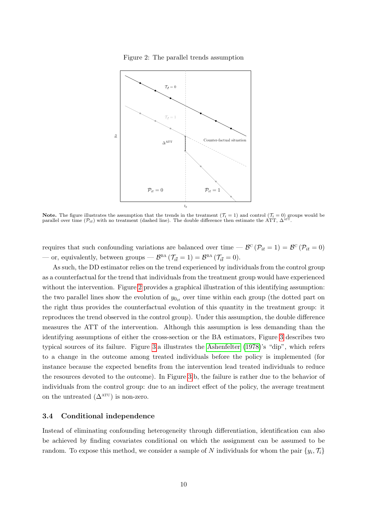<span id="page-11-0"></span>Figure 2: The parallel trends assumption



**Note.** The figure illustrates the assumption that the trends in the treatment  $(\mathcal{T}_i = 1)$  and control  $(\mathcal{T}_i = 0)$  groups would be parallel over time  $(\mathcal{P}_{it})$  with no treatment (dashed line). The double difference the

requires that such confounding variations are balanced over time —  $\mathcal{B}^{\circ}(\mathcal{P}_{it} = 1) = \mathcal{B}^{\circ}(\mathcal{P}_{it} = 0)$ — or, equivalently, between groups —  $\mathcal{B}^{BA}$  ( $\mathcal{T}_{i\bar{t}} = 1$ ) =  $\mathcal{B}^{BA}$  ( $\mathcal{T}_{i\bar{t}} = 0$ ).

As such, the DD estimator relies on the trend experienced by individuals from the control group as a counterfactual for the trend that individuals from the treatment group would have experienced without the intervention. Figure [2](#page-11-0) provides a graphical illustration of this identifying assumption: the two parallel lines show the evolution of  $y_{0it}$  over time within each group (the dotted part on the right thus provides the counterfactual evolution of this quantity in the treatment group: it reproduces the trend observed in the control group). Under this assumption, the double difference measures the ATT of the intervention. Although this assumption is less demanding than the identifying assumptions of either the cross-section or the BA estimators, Figure [3](#page-12-0) describes two typical sources of its failure. Figure [3.](#page-12-0)a illustrates the [Ashenfelter](#page-31-4) [\(1978\)](#page-31-4)'s "dip", which refers to a change in the outcome among treated individuals before the policy is implemented (for instance because the expected benefits from the intervention lead treated individuals to reduce the resources devoted to the outcome). In Figure [3.](#page-12-0)b, the failure is rather due to the behavior of individuals from the control group: due to an indirect effect of the policy, the average treatment on the untreated  $(\Delta^{\text{ATU}})$  is non-zero.

#### 3.4 Conditional independence

Instead of eliminating confounding heterogeneity through differentiation, identification can also be achieved by finding covariates conditional on which the assignment can be assumed to be random. To expose this method, we consider a sample of N individuals for whom the pair  $\{y_i, \mathcal{T}_i\}$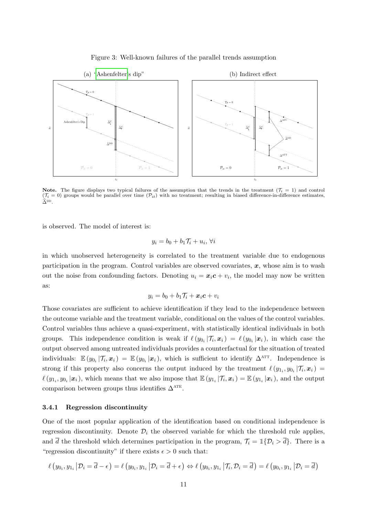<span id="page-12-0"></span>



Note. The figure displays two typical failures of the assumption that the trends in the treatment ( $\mathcal{T}_i = 1$ ) and control  $(\mathcal{T}_i = 0)$  groups would be parallel over time  $(\mathcal{P}_{it})$  with no treatment; resulting in biased difference-in-difference estimates  $\widehat{\Delta}^{\mathrm{DD}}$ .

is observed. The model of interest is:

$$
y_i = b_0 + b_1 \mathcal{T}_i + u_i, \,\forall i
$$

in which unobserved heterogeneity is correlated to the treatment variable due to endogenous participation in the program. Control variables are observed covariates,  $x$ , whose aim is to wash out the noise from confounding factors. Denoting  $u_i = x_i c + v_i$ , the model may now be written as:

$$
y_i = b_0 + b_1 \mathcal{T}_i + \boldsymbol{x}_i \boldsymbol{c} + v_i
$$

Those covariates are sufficient to achieve identification if they lead to the independence between the outcome variable and the treatment variable, conditional on the values of the control variables. Control variables thus achieve a quasi-experiment, with statistically identical individuals in both groups. This independence condition is weak if  $\ell(y_{0_i} | \mathcal{T}_i, x_i) = \ell(y_{0_i} | x_i)$ , in which case the output observed among untreated individuals provides a counterfactual for the situation of treated individuals:  $\mathbb{E}(y_{0_i}|\mathcal{T}_i, x_i) = \mathbb{E}(y_{0_i}|\mathbf{x}_i)$ , which is sufficient to identify  $\Delta^{\text{ATT}}$ . Independence is strong if this property also concerns the output induced by the treatment  $\ell(y_{1_i}, y_{0_i} | T_i, x_i) =$  $\ell(y_{1_i}, y_{0_i}|\mathbf{x}_i)$ , which means that we also impose that  $\mathbb{E}(y_{1_i}|\mathcal{T}_i, \mathbf{x}_i) = \mathbb{E}(y_{1_i}|\mathbf{x}_i)$ , and the output comparison between groups thus identifies  $\Delta^{\text{ATE}}$ .

#### 3.4.1 Regression discontinuity

One of the most popular application of the identification based on conditional independence is regression discontinuity. Denote  $\mathcal{D}_i$  the observed variable for which the threshold rule applies, and  $\overline{d}$  the threshold which determines participation in the program,  $\mathcal{T}_i = \mathbb{1}\{\mathcal{D}_i > \overline{d}\}\.$  There is a "regression discontinuity" if there exists  $\epsilon > 0$  such that:

$$
\ell\left(y_{0_i}, y_{1_i} \,\middle|\, \mathcal{D}_i = \overline{d} - \epsilon\right) = \ell\left(y_{0_i}, y_{1_i} \,\middle|\, \mathcal{D}_i = \overline{d} + \epsilon\right) \Leftrightarrow \ell\left(y_{0_i}, y_{1_i} \,\middle|\, \mathcal{T}_i, \mathcal{D}_i = \overline{d}\right) = \ell\left(y_{0_i}, y_{1_i} \,\middle|\, \mathcal{D}_i = \overline{d}\right)
$$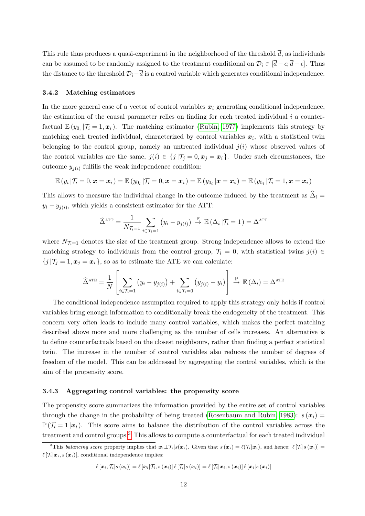This rule thus produces a quasi-experiment in the neighborhood of the threshold  $\overline{d}$ , as individuals can be assumed to be randomly assigned to the treatment conditional on  $\mathcal{D}_i \in [\bar{d}-\epsilon, \bar{d}+\epsilon]$ . Thus the distance to the threshold  $\mathcal{D}_i-\overline{d}$  is a control variable which generates conditional independence.

#### 3.4.2 Matching estimators

In the more general case of a vector of control variables  $x_i$  generating conditional independence, the estimation of the causal parameter relies on finding for each treated individual  $i$  a counterfactual  $\mathbb{E}(y_{0_i}|\mathcal{T}_i=1,\boldsymbol{x}_i)$ . The matching estimator [\(Rubin, 1977\)](#page-35-2) implements this strategy by matching each treated individual, characterized by control variables  $x_i$ , with a statistical twin belonging to the control group, namely an untreated individual  $j(i)$  whose observed values of the control variables are the same,  $j(i) \in \{j | \mathcal{T}_j = 0, x_j = x_i\}$ . Under such circumstances, the outcome  $y_{j(i)}$  fulfills the weak independence condition:

$$
\mathbb{E}(y_i | \mathcal{T}_i = 0, \bm{x} = \bm{x}_i) = \mathbb{E}(y_{0_i} | \mathcal{T}_i = 0, \bm{x} = \bm{x}_i) = \mathbb{E}(y_{0_i} | \bm{x} = \bm{x}_i) = \mathbb{E}(y_{0_i} | \mathcal{T}_i = 1, \bm{x} = \bm{x}_i)
$$

This allows to measure the individual change in the outcome induced by the treatment as  $\hat{\Delta}_i =$  $y_i - y_{j(i)}$ , which yields a consistent estimator for the ATT:

$$
\widehat{\Delta}^{\text{ATT}} = \frac{1}{N_{\mathcal{T}_i=1}} \sum_{i \in \mathcal{T}_i=1} (y_i - y_{j(i)}) \stackrel{\mathbb{P}}{\rightarrow} \mathbb{E} (\Delta_i | \mathcal{T}_i = 1) = \Delta^{\text{ATT}}
$$

where  $N_{\mathcal{T}_{i}=1}$  denotes the size of the treatment group. Strong independence allows to extend the matching strategy to individuals from the control group,  $\mathcal{T}_i = 0$ , with statistical twins  $j(i) \in$  ${j | T_j = 1, x_j = x_i}$ , so as to estimate the ATE we can calculate:

$$
\widehat{\Delta}^{\text{ATE}} = \frac{1}{N} \left[ \sum_{i \in \mathcal{T}_i = 1} \left( y_i - y_{j(i)} \right) + \sum_{i \in \mathcal{T}_i = 0} \left( y_{j(i)} - y_i \right) \right] \stackrel{\mathbb{P}}{\rightarrow} \mathbb{E} \left( \Delta_i \right) = \Delta^{\text{ATE}}
$$

The conditional independence assumption required to apply this strategy only holds if control variables bring enough information to conditionally break the endogeneity of the treatment. This concern very often leads to include many control variables, which makes the perfect matching described above more and more challenging as the number of cells increases. An alternative is to define counterfactuals based on the closest neighbours, rather than finding a perfect statistical twin. The increase in the number of control variables also reduces the number of degrees of freedom of the model. This can be addressed by aggregating the control variables, which is the aim of the propensity score.

#### 3.4.3 Aggregating control variables: the propensity score

The propensity score summarizes the information provided by the entire set of control variables through the change in the probability of being treated [\(Rosenbaum and Rubin, 1983\)](#page-35-3):  $s(\mathbf{x}_i) =$  $\mathbb{P}(\mathcal{T}_i = 1 | \mathbf{x}_i)$ . This score aims to balance the distribution of the control variables across the treatment and control groups.<sup>[3](#page-13-0)</sup> This allows to compute a counterfactual for each treated individual

$$
\ell\left[\boldsymbol{x}_{i},\mathcal{T}_{i}\vert s\left(\boldsymbol{x}_{i}\right)\right]=\ell\left[\boldsymbol{x}_{i}\vert\mathcal{T}_{i},s\left(\boldsymbol{x}_{i}\right)\right]\ell\left[\mathcal{T}_{i}\vert s\left(\boldsymbol{x}_{i}\right)\right]=\ell\left[\mathcal{T}_{i}\vert\boldsymbol{x}_{i},s\left(\boldsymbol{x}_{i}\right)\right]\ell\left[\boldsymbol{x}_{i}\vert s\left(\boldsymbol{x}_{i}\right)\right]
$$

<span id="page-13-0"></span><sup>&</sup>lt;sup>3</sup>This balancing score property implies that  $x_i\bot\mathcal{T}_i|s(x_i)$ . Given that  $s(x_i) = \ell(\mathcal{T}_i|x_i)$ , and hence:  $\ell[\mathcal{T}_i|s(x_i)] =$  $\ell[\mathcal{T}_i|\boldsymbol{x}_i, s(\boldsymbol{x}_i)],$  conditional independence implies: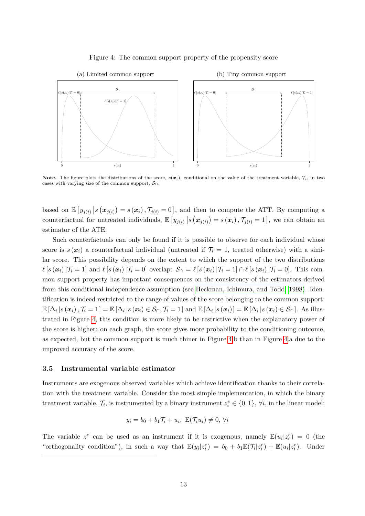

#### <span id="page-14-0"></span>Figure 4: The common support property of the propensity score

Note. The figure plots the distributions of the score,  $s(x_i)$ , conditional on the value of the treatment variable,  $\mathcal{T}_i$ , in two cases with varying size of the common support,  $S_{\cap}$ .

based on  $\mathbb{E}\left[y_{j(i)}\big| s(\boldsymbol{x}_{j(i)})=s(\boldsymbol{x}_i), \mathcal{T}_{j(i)}=0\right]$ , and then to compute the ATT. By computing a counterfactual for untreated individuals,  $\mathbb{E}\left[y_{j(i)}\big| s\left(x_{j(i)}\right) = s\left(x_i\right), \mathcal{T}_{j(i)} = 1\right]$ , we can obtain an estimator of the ATE.

Such counterfactuals can only be found if it is possible to observe for each individual whose score is  $s(\mathbf{x}_i)$  a counterfactual individual (untreated if  $\mathcal{T}_i = 1$ , treated otherwise) with a similar score. This possibility depends on the extent to which the support of the two distributions  $\ell [s (\mathbf{x}_i)|\mathcal{T}_i = 1]$  and  $\ell [s (\mathbf{x}_i)|\mathcal{T}_i = 0]$  overlap:  $\mathcal{S}_{\cap} = \ell [s (\mathbf{x}_i)|\mathcal{T}_i = 1] \cap \ell [s (\mathbf{x}_i)|\mathcal{T}_i = 0]$ . This common support property has important consequences on the consistency of the estimators derived from this conditional independence assumption (see [Heckman, Ichimura, and Todd, 1998\)](#page-33-5). Identification is indeed restricted to the range of values of the score belonging to the common support:  $\mathbb{E}[\Delta_i | s(\boldsymbol{x}_i), \mathcal{T}_i = 1] = \mathbb{E}[\Delta_i | s(\boldsymbol{x}_i) \in \mathcal{S}_{\cap}, \mathcal{T}_i = 1]$  and  $\mathbb{E}[\Delta_i | s(\boldsymbol{x}_i)] = \mathbb{E}[\Delta_i | s(\boldsymbol{x}_i) \in \mathcal{S}_{\cap}].$  As illustrated in Figure [4,](#page-14-0) this condition is more likely to be restrictive when the explanatory power of the score is higher: on each graph, the score gives more probability to the conditioning outcome, as expected, but the common support is much thiner in Figure [4.](#page-14-0)b than in Figure [4.](#page-14-0)a due to the improved accuracy of the score.

#### 3.5 Instrumental variable estimator

Instruments are exogenous observed variables which achieve identification thanks to their correlation with the treatment variable. Consider the most simple implementation, in which the binary treatment variable,  $\mathcal{T}_i$ , is instrumented by a binary instrument  $z_i^e \in \{0, 1\}$ ,  $\forall i$ , in the linear model:

$$
y_i = b_0 + b_1 \mathcal{T}_i + u_i, \ \mathbb{E}(\mathcal{T}_i u_i) \neq 0, \ \forall i
$$

The variable  $z^e$  can be used as an instrument if it is exogenous, namely  $\mathbb{E}(u_i|z_i^e) = 0$  (the "orthogonality condition"), in such a way that  $\mathbb{E}(y_i|z_i^e) = b_0 + b_1 \mathbb{E}(\mathcal{T}_i|z_i^e) + \mathbb{E}(u_i|z_i^e)$ . Under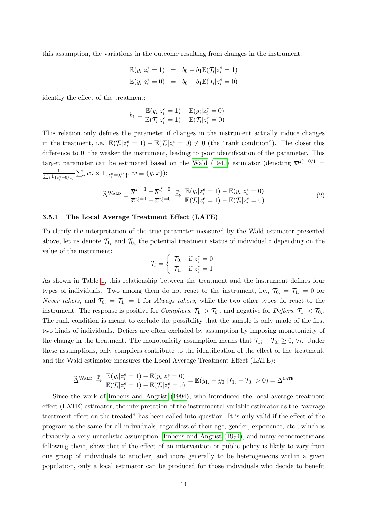this assumption, the variations in the outcome resulting from changes in the instrument,

$$
\mathbb{E}(y_i|z_i^e = 1) = b_0 + b_1 \mathbb{E}(\mathcal{T}_i|z_i^e = 1)
$$
  

$$
\mathbb{E}(y_i|z_i^e = 0) = b_0 + b_1 \mathbb{E}(\mathcal{T}_i|z_i^e = 0)
$$

identify the effect of the treatment:

$$
b_1 = \frac{\mathbb{E}(y_i|z_i^e = 1) - \mathbb{E}(y_i|z_i^e = 0)}{\mathbb{E}(\mathcal{T}_i|z_i^e = 1) - \mathbb{E}(\mathcal{T}_i|z_i^e = 0)}
$$

This relation only defines the parameter if changes in the instrument actually induce changes in the treatment, i.e.  $\mathbb{E}(\mathcal{T}_i|z_i^e=1)-\mathbb{E}(\mathcal{T}_i|z_i^e=0)\neq 0$  (the "rank condition"). The closer this difference to 0, the weaker the instrument, leading to poor identification of the parameter. This target parameter can be estimated based on the [Wald](#page-36-1) [\(1940\)](#page-36-1) estimator (denoting  $\overline{w}^{z_i^e=0/1}$  $\frac{1}{\sum_i \mathbb{1}_{\{z_i^e = 0/1\}}} \sum_i w_i \times \mathbb{1}_{\{z_i^e = 0/1\}}, w \equiv \{y, x\}$ :

$$
\widehat{\Delta}^{\text{WALD}} = \frac{\overline{y}^{z_i^e = 1} - \overline{y}^{z_i^e = 0}}{\overline{x}^{z_i^e = 1} - \overline{x}^{z_i^e = 0}} \xrightarrow{\mathbb{P}} \frac{\mathbb{E}(y_i | z_i^e = 1) - \mathbb{E}(y_i | z_i^e = 0)}{\mathbb{E}(\mathcal{T}_i | z_i^e = 1) - \mathbb{E}(\mathcal{T}_i | z_i^e = 0)}
$$
(2)

#### 3.5.1 The Local Average Treatment Effect (LATE)

To clarify the interpretation of the true parameter measured by the Wald estimator presented above, let us denote  $\mathcal{T}_{1_i}$  and  $\mathcal{T}_{0_i}$  the potential treatment status of individual i depending on the value of the instrument:

$$
\mathcal{T}_i = \begin{cases} \mathcal{T}_{0_i} & \text{if } z_i^e = 0 \\ \mathcal{T}_{1_i} & \text{if } z_i^e = 1 \end{cases}
$$

As shown in Table [1,](#page-16-1) this relationship between the treatment and the instrument defines four types of individuals. Two among them do not react to the instrument, i.e.,  $\mathcal{T}_{0_i} = \mathcal{T}_{1_i} = 0$  for Never takers, and  $\mathcal{T}_{0_i} = \mathcal{T}_{1_i} = 1$  for *Always takers*, while the two other types do react to the instrument. The response is positive for *Compliers*,  $\mathcal{T}_{1_i} > \mathcal{T}_{0_i}$ , and negative for *Defiers*,  $\mathcal{T}_{1_i} < \mathcal{T}_{0_i}$ . The rank condition is meant to exclude the possibility that the sample is only made of the first two kinds of individuals. Defiers are often excluded by assumption by imposing monotonicity of the change in the treatment. The monotonicity assumption means that  $\mathcal{T}_{1i} - \mathcal{T}_{0i} \geq 0$ ,  $\forall i$ . Under these assumptions, only compliers contribute to the identification of the effect of the treatment, and the Wald estimator measures the Local Average Treatment Effect (LATE):

$$
\widehat{\Delta}^{\text{Wald}} \stackrel{\mathbb{P}}{\rightarrow} \frac{\mathbb{E}(y_i|z_i^e = 1) - \mathbb{E}(y_i|z_i^e = 0)}{\mathbb{E}(\mathcal{T}_i|z_i^e = 1) - \mathbb{E}(\mathcal{T}_i|z_i^e = 0)} = \mathbb{E}(y_{1_i} - y_{0_i}|\mathcal{T}_{1_i} - \mathcal{T}_{0_i} > 0) = \Delta^{\text{LATE}}
$$

Since the work of [Imbens and Angrist](#page-33-6) [\(1994\)](#page-33-6), who introduced the local average treatment effect (LATE) estimator, the interpretation of the instrumental variable estimator as the "average treatment effect on the treated" has been called into question. It is only valid if the effect of the program is the same for all individuals, regardless of their age, gender, experience, etc., which is obviously a very unrealistic assumption. [Imbens and Angrist](#page-33-6) [\(1994\)](#page-33-6), and many econometricians following them, show that if the effect of an intervention or public policy is likely to vary from one group of individuals to another, and more generally to be heterogeneous within a given population, only a local estimator can be produced for those individuals who decide to benefit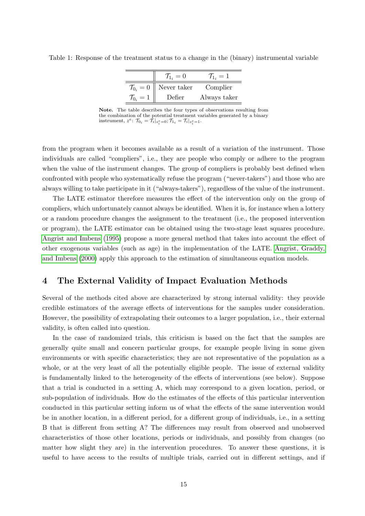|                         | $\mathcal{T}_{1_i}=0$ | $T_{1i} = 1$ |
|-------------------------|-----------------------|--------------|
| $\mathcal{T}_{0_i}=0$   | Never taker           | Complier     |
| $\mathcal{T}_{0_i} = 1$ | Defier                | Always taker |

<span id="page-16-1"></span>Table 1: Response of the treatment status to a change in the (binary) instrumental variable

Note. The table describes the four types of observations resulting from the combination of the potential treatment variables generated by a binary instrument,  $z^e$ :  $\mathcal{T}_{0_i} = \bar{\mathcal{T}}_i|_{z_i^e=0}$ ;  $\mathcal{T}_{1_i} = \mathcal{T}_i|_{z_i^e=1}$ .

from the program when it becomes available as a result of a variation of the instrument. Those individuals are called "compliers", i.e., they are people who comply or adhere to the program when the value of the instrument changes. The group of compliers is probably best defined when confronted with people who systematically refuse the program ("never-takers") and those who are always willing to take participate in it ("always-takers"), regardless of the value of the instrument.

The LATE estimator therefore measures the effect of the intervention only on the group of compliers, which unfortunately cannot always be identified. When it is, for instance when a lottery or a random procedure changes the assignment to the treatment (i.e., the proposed intervention or program), the LATE estimator can be obtained using the two-stage least squares procedure. [Angrist and Imbens](#page-31-5) [\(1995\)](#page-31-5) propose a more general method that takes into account the effect of other exogenous variables (such as age) in the implementation of the LATE. [Angrist, Graddy,](#page-31-6) [and Imbens](#page-31-6) [\(2000\)](#page-31-6) apply this approach to the estimation of simultaneous equation models.

## <span id="page-16-0"></span>4 The External Validity of Impact Evaluation Methods

Several of the methods cited above are characterized by strong internal validity: they provide credible estimators of the average effects of interventions for the samples under consideration. However, the possibility of extrapolating their outcomes to a larger population, i.e., their external validity, is often called into question.

In the case of randomized trials, this criticism is based on the fact that the samples are generally quite small and concern particular groups, for example people living in some given environments or with specific characteristics; they are not representative of the population as a whole, or at the very least of all the potentially eligible people. The issue of external validity is fundamentally linked to the heterogeneity of the effects of interventions (see below). Suppose that a trial is conducted in a setting A, which may correspond to a given location, period, or sub-population of individuals. How do the estimates of the effects of this particular intervention conducted in this particular setting inform us of what the effects of the same intervention would be in another location, in a different period, for a different group of individuals, i.e., in a setting B that is different from setting A? The differences may result from observed and unobserved characteristics of those other locations, periods or individuals, and possibly from changes (no matter how slight they are) in the intervention procedures. To answer these questions, it is useful to have access to the results of multiple trials, carried out in different settings, and if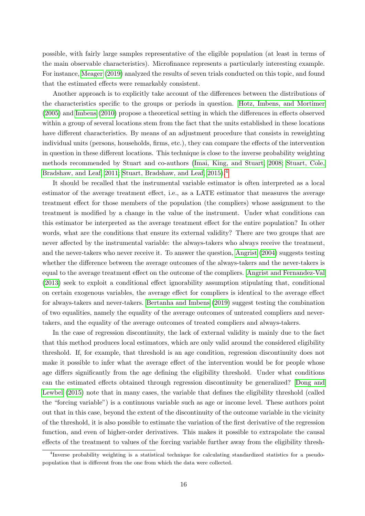possible, with fairly large samples representative of the eligible population (at least in terms of the main observable characteristics). Microfinance represents a particularly interesting example. For instance, [Meager](#page-34-4) [\(2019\)](#page-34-4) analyzed the results of seven trials conducted on this topic, and found that the estimated effects were remarkably consistent.

Another approach is to explicitly take account of the differences between the distributions of the characteristics specific to the groups or periods in question. [Hotz, Imbens, and Mortimer](#page-33-7) [\(2005\)](#page-33-7) and [Imbens](#page-33-8) [\(2010\)](#page-33-8) propose a theoretical setting in which the differences in effects observed within a group of several locations stem from the fact that the units established in these locations have different characteristics. By means of an adjustment procedure that consists in reweighting individual units (persons, households, firms, etc.), they can compare the effects of the intervention in question in these different locations. This technique is close to the inverse probability weighting methods recommended by Stuart and co-authors [\(Imai, King, and Stuart, 2008;](#page-33-9) [Stuart, Cole,](#page-35-4) [Bradshaw, and Leaf, 2011;](#page-35-4) [Stuart, Bradshaw, and Leaf, 2015\)](#page-35-5).<sup>[4](#page-17-0)</sup>

It should be recalled that the instrumental variable estimator is often interpreted as a local estimator of the average treatment effect, i.e., as a LATE estimator that measures the average treatment effect for those members of the population (the compliers) whose assignment to the treatment is modified by a change in the value of the instrument. Under what conditions can this estimator be interpreted as the average treatment effect for the entire population? In other words, what are the conditions that ensure its external validity? There are two groups that are never affected by the instrumental variable: the always-takers who always receive the treatment, and the never-takers who never receive it. To answer the question, [Angrist](#page-31-7) [\(2004\)](#page-31-7) suggests testing whether the difference between the average outcomes of the always-takers and the never-takers is equal to the average treatment effect on the outcome of the compliers. [Angrist and Fernandez-Val](#page-31-8) [\(2013\)](#page-31-8) seek to exploit a conditional effect ignorability assumption stipulating that, conditional on certain exogenous variables, the average effect for compliers is identical to the average effect for always-takers and never-takers. [Bertanha and Imbens](#page-32-4) [\(2019\)](#page-32-4) suggest testing the combination of two equalities, namely the equality of the average outcomes of untreated compliers and nevertakers, and the equality of the average outcomes of treated compliers and always-takers.

In the case of regression discontinuity, the lack of external validity is mainly due to the fact that this method produces local estimators, which are only valid around the considered eligibility threshold. If, for example, that threshold is an age condition, regression discontinuity does not make it possible to infer what the average effect of the intervention would be for people whose age differs significantly from the age defining the eligibility threshold. Under what conditions can the estimated effects obtained through regression discontinuity be generalized? [Dong and](#page-32-5) [Lewbel](#page-32-5) [\(2015\)](#page-32-5) note that in many cases, the variable that defines the eligibility threshold (called the "forcing variable") is a continuous variable such as age or income level. These authors point out that in this case, beyond the extent of the discontinuity of the outcome variable in the vicinity of the threshold, it is also possible to estimate the variation of the first derivative of the regression function, and even of higher-order derivatives. This makes it possible to extrapolate the causal effects of the treatment to values of the forcing variable further away from the eligibility thresh-

<span id="page-17-0"></span><sup>4</sup> Inverse probability weighting is a statistical technique for calculating standardized statistics for a pseudopopulation that is different from the one from which the data were collected.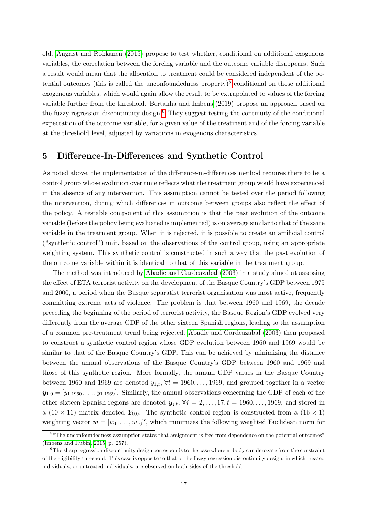old. [Angrist and Rokkanen](#page-31-9) [\(2015\)](#page-31-9) propose to test whether, conditional on additional exogenous variables, the correlation between the forcing variable and the outcome variable disappears. Such a result would mean that the allocation to treatment could be considered independent of the po-tential outcomes (this is called the unconfoundedness property)<sup>[5](#page-18-1)</sup> conditional on those additional exogenous variables, which would again allow the result to be extrapolated to values of the forcing variable further from the threshold. [Bertanha and Imbens](#page-32-4) [\(2019\)](#page-32-4) propose an approach based on the fuzzy regression discontinuity design.<sup>[6](#page-18-2)</sup> They suggest testing the continuity of the conditional expectation of the outcome variable, for a given value of the treatment and of the forcing variable at the threshold level, adjusted by variations in exogenous characteristics.

### <span id="page-18-0"></span>5 Difference-In-Differences and Synthetic Control

As noted above, the implementation of the difference-in-differences method requires there to be a control group whose evolution over time reflects what the treatment group would have experienced in the absence of any intervention. This assumption cannot be tested over the period following the intervention, during which differences in outcome between groups also reflect the effect of the policy. A testable component of this assumption is that the past evolution of the outcome variable (before the policy being evaluated is implemented) is on average similar to that of the same variable in the treatment group. When it is rejected, it is possible to create an artificial control ("synthetic control") unit, based on the observations of the control group, using an appropriate weighting system. This synthetic control is constructed in such a way that the past evolution of the outcome variable within it is identical to that of this variable in the treatment group.

The method was introduced by [Abadie and Gardeazabal](#page-30-2) [\(2003\)](#page-30-2) in a study aimed at assessing the effect of ETA terrorist activity on the development of the Basque Country's GDP between 1975 and 2000, a period when the Basque separatist terrorist organisation was most active, frequently committing extreme acts of violence. The problem is that between 1960 and 1969, the decade preceding the beginning of the period of terrorist activity, the Basque Region's GDP evolved very differently from the average GDP of the other sixteen Spanish regions, leading to the assumption of a common pre-treatment trend being rejected. [Abadie and Gardeazabal](#page-30-2) [\(2003\)](#page-30-2) then proposed to construct a synthetic control region whose GDP evolution between 1960 and 1969 would be similar to that of the Basque Country's GDP. This can be achieved by minimizing the distance between the annual observations of the Basque Country's GDP between 1960 and 1969 and those of this synthetic region. More formally, the annual GDP values in the Basque Country between 1960 and 1969 are denoted  $y_{1,t}$ ,  $\forall t = 1960, \ldots, 1969$ , and grouped together in a vector  $y_{1,0} = [y_{1,1960}, \ldots, y_{1,1969}]$ . Similarly, the annual observations concerning the GDP of each of the other sixteen Spanish regions are denoted  $y_{j,t}$ ,  $\forall j = 2, \ldots, 17, t = 1960, \ldots, 1969$ , and stored in a (10 × 16) matrix denoted  $Y_{0,0}$ . The synthetic control region is constructed from a (16 × 1) weighting vector  $\mathbf{w} = [w_1, \dots, w_{16}]'$ , which minimizes the following weighted Euclidean norm for

<span id="page-18-1"></span><sup>&</sup>lt;sup>5</sup> "The unconfoundedness assumption states that assignment is free from dependence on the potential outcomes" [\(Imbens and Rubin, 2015,](#page-33-0) p. 257).

<span id="page-18-2"></span><sup>&</sup>lt;sup>6</sup>The sharp regression discontinuity design corresponds to the case where nobody can derogate from the constraint of the eligibility threshold. This case is opposite to that of the fuzzy regression discontinuity design, in which treated individuals, or untreated individuals, are observed on both sides of the threshold.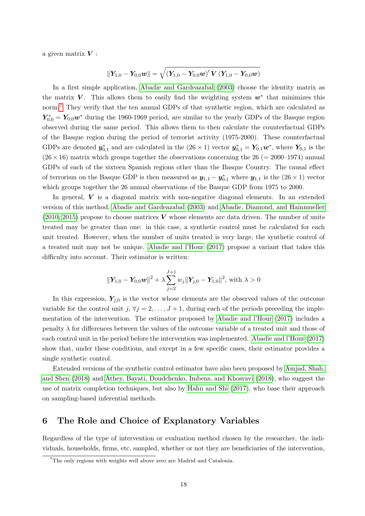a given matrix  $V$ :

$$
\left\| \boldsymbol{Y}_{1,0} - \boldsymbol{Y}_{0,0} \boldsymbol{w} \right\| = \sqrt{ \left( \boldsymbol{Y}_{1,0} - \boldsymbol{Y}_{0,0} \boldsymbol{w} \right)^{\prime} \boldsymbol{V} \left( \boldsymbol{Y}_{1,0} - \boldsymbol{Y}_{0,0} \boldsymbol{w} \right) }
$$

In a first simple application, [Abadie and Gardeazabal](#page-30-2) [\(2003\)](#page-30-2) choose the identity matrix as the matrix V. This allows them to easily find the weighting system  $w^*$  that minimizes this norm.<sup>[7](#page-19-1)</sup> They verify that the ten annual GDPs of that synthetic region, which are calculated as  $Y_{0,0}^* = Y_{0,0}w^*$  during the 1960-1969 period, are similar to the yearly GDPs of the Basque region observed during the same period. This allows them to then calculate the counterfactual GDPs of the Basque region during the period of terrorist activity (1975-2000). These counterfactual GDPs are denoted  $y_{0,1}^*$  and are calculated in the  $(26 \times 1)$  vector  $y_{0,1}^* = Y_{0,1}w^*$ , where  $Y_{0,1}$  is the  $(26 \times 16)$  matrix which groups together the observations concerning the 26 (= 2000–1974) annual GDPs of each of the sixteen Spanish regions other than the Basque Country. The causal effect of terrorism on the Basque GDP is then measured as  $y_{1,1} - y_{0,1}^*$  where  $y_{1,1}$  is the  $(26 \times 1)$  vector which groups together the 26 annual observations of the Basque GDP from 1975 to 2000.

In general,  $V$  is a diagonal matrix with non-negative diagonal elements. In an extended version of this method, [Abadie and Gardeazabal](#page-30-2) [\(2003\)](#page-30-2) and [Abadie, Diamond, and Hainmueller](#page-30-3) [\(2010,](#page-30-3) [2015\)](#page-30-4) propose to choose matrices  $V$  whose elements are data driven. The number of units treated may be greater than one: in this case, a synthetic control must be calculated for each unit treated. However, when the number of units treated is very large, the synthetic control of a treated unit may not be unique. [Abadie and l'Hour](#page-30-5) [\(2017\)](#page-30-5) propose a variant that takes this difficulty into account. Their estimator is written:

$$
\|\textbf{Y}_{1,0}-\textbf{Y}_{0,0}\textbf{\textit{w}}\|^2+\lambda \sum_{j=2}^{J+1}w_j\|\textbf{Y}_{j,0}-\textbf{Y}_{1,0}\|^2, \text{ with } \lambda >0
$$

In this expression,  $Y_{j,0}$  is the vector whose elements are the observed values of the outcome variable for the control unit j,  $\forall j = 2, \ldots, J + 1$ , during each of the periods preceding the implementation of the intervention. The estimator proposed by [Abadie and l'Hour](#page-30-5) [\(2017\)](#page-30-5) includes a penalty  $\lambda$  for differences between the values of the outcome variable of a treated unit and those of each control unit in the period before the intervention was implemented. [Abadie and l'Hour](#page-30-5) [\(2017\)](#page-30-5) show that, under these conditions, and except in a few specific cases, their estimator provides a single synthetic control.

Extended versions of the synthetic control estimator have also been proposed by [Amjad, Shah,](#page-31-10) [and Shen](#page-31-10) [\(2018\)](#page-31-10) and [Athey, Bayati, Doudchenko, Imbens, and Khosravi](#page-31-11) [\(2018\)](#page-31-11), who suggest the use of matrix completion techniques, but also by [Hahn and Shi](#page-33-10) [\(2017\)](#page-33-10), who base their approach on sampling-based inferential methods.

## <span id="page-19-0"></span>6 The Role and Choice of Explanatory Variables

Regardless of the type of intervention or evaluation method chosen by the researcher, the individuals, households, firms, etc, sampled, whether or not they are beneficiaries of the intervention,

<span id="page-19-1"></span><sup>&</sup>lt;sup>7</sup>The only regions with weights well above zero are Madrid and Catalonia.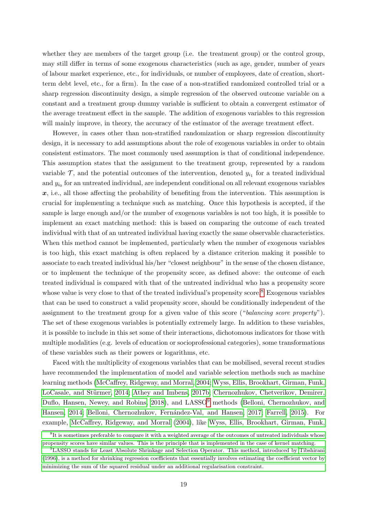whether they are members of the target group (i.e. the treatment group) or the control group, may still differ in terms of some exogenous characteristics (such as age, gender, number of years of labour market experience, etc., for individuals, or number of employees, date of creation, shortterm debt level, etc., for a firm). In the case of a non-stratified randomized controlled trial or a sharp regression discontinuity design, a simple regression of the observed outcome variable on a constant and a treatment group dummy variable is sufficient to obtain a convergent estimator of the average treatment effect in the sample. The addition of exogenous variables to this regression will mainly improve, in theory, the accuracy of the estimator of the average treatment effect.

However, in cases other than non-stratified randomization or sharp regression discontinuity design, it is necessary to add assumptions about the role of exogenous variables in order to obtain consistent estimators. The most commonly used assumption is that of conditional independence. This assumption states that the assignment to the treatment group, represented by a random variable  $\mathcal{T}$ , and the potential outcomes of the intervention, denoted  $y_{i_1}$  for a treated individual and  $y_{i_0}$  for an untreated individual, are independent conditional on all relevant exogenous variables  $x$ , i.e., all those affecting the probability of benefiting from the intervention. This assumption is crucial for implementing a technique such as matching. Once this hypothesis is accepted, if the sample is large enough and/or the number of exogenous variables is not too high, it is possible to implement an exact matching method: this is based on comparing the outcome of each treated individual with that of an untreated individual having exactly the same observable characteristics. When this method cannot be implemented, particularly when the number of exogenous variables is too high, this exact matching is often replaced by a distance criterion making it possible to associate to each treated individual his/her "closest neighbour" in the sense of the chosen distance, or to implement the technique of the propensity score, as defined above: the outcome of each treated individual is compared with that of the untreated individual who has a propensity score whose value is very close to that of the treated individual's propensity score.<sup>[8](#page-20-0)</sup> Exogenous variables that can be used to construct a valid propensity score, should be conditionally independent of the assignment to the treatment group for a given value of this score ("balancing score property"). The set of these exogenous variables is potentially extremely large. In addition to these variables, it is possible to include in this set some of their interactions, dichotomous indicators for those with multiple modalities (e.g. levels of education or socioprofessional categories), some transformations of these variables such as their powers or logarithms, etc.

Faced with the multiplicity of exogenous variables that can be mobilised, several recent studies have recommended the implementation of model and variable selection methods such as machine learning methods [\(McCaffrey, Ridgeway, and Morral, 2004;](#page-34-5) [Wyss, Ellis, Brookhart, Girman, Funk,](#page-36-2) LoCasale, and Stürmer, 2014; [Athey and Imbens, 2017b;](#page-31-3) [Chernozhukov, Chetverikov, Demirer,](#page-32-6) [Duflo, Hansen, Newey, and Robins, 2018\)](#page-32-6), and LASSO<sup>[9](#page-20-1)</sup> methods [\(Belloni, Chernozhukov, and](#page-32-7) [Hansen, 2014;](#page-32-7) Belloni, Chernozhukov, Fernández-Val, and Hansen, 2017; [Farrell, 2015\)](#page-33-11). For example, [McCaffrey, Ridgeway, and Morral](#page-34-5) [\(2004\)](#page-34-5), like [Wyss, Ellis, Brookhart, Girman, Funk,](#page-36-2)

<span id="page-20-0"></span><sup>&</sup>lt;sup>8</sup>[It is sometimes preferable to compare it with a weighted average of the outcomes of untreated individuals whose](#page-36-2) [propensity scores have similar values. This is the principle that is implemented in the case of kernel matching.](#page-36-2)

<span id="page-20-1"></span><sup>9</sup>[LASSO stands for Least Absolute Shrinkage and Selection Operator. This method, introduced by Tibshirani](#page-36-2) [\(1996\), is a method for shrinking regression coefficients that essentially involves estimating the coefficient vector by](#page-36-2) [minimizing the sum of the squared residual under an additional regularisation constraint.](#page-36-2)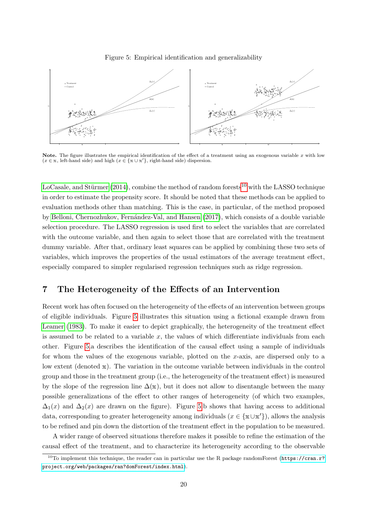<span id="page-21-2"></span>



**Note.** The figure illustrates the empirical identification of the effect of a treatment using an exogenous variable x with low  $(x \in \mathbf{x})$ ,  $\text{rank}(x \in \{x \cup x'\}, \text{rank}(\text{rank}(x))$  dispersion.

LoCasale, and Stürmer  $(2014)$ , combine the method of random forests<sup>[10](#page-21-1)</sup> with the LASSO technique in order to estimate the propensity score. It should be noted that these methods can be applied to evaluation methods other than matching. This is the case, in particular, of the method proposed by Belloni, Chernozhukov, Fernández-Val, and Hansen [\(2017\)](#page-32-8), which consists of a double variable selection procedure. The LASSO regression is used first to select the variables that are correlated with the outcome variable, and then again to select those that are correlated with the treatment dummy variable. After that, ordinary least squares can be applied by combining these two sets of variables, which improves the properties of the usual estimators of the average treatment effect, especially compared to simpler regularised regression techniques such as ridge regression.

## <span id="page-21-0"></span>7 The Heterogeneity of the Effects of an Intervention

Recent work has often focused on the heterogeneity of the effects of an intervention between groups of eligible individuals. Figure [5](#page-21-2) illustrates this situation using a fictional example drawn from [Leamer](#page-34-6) [\(1983\)](#page-34-6). To make it easier to depict graphically, the heterogeneity of the treatment effect is assumed to be related to a variable  $x$ , the values of which differentiate individuals from each other. Figure [5.](#page-21-2)a describes the identification of the causal effect using a sample of individuals for whom the values of the exogenous variable, plotted on the x-axis, are dispersed only to a low extent (denoted x). The variation in the outcome variable between individuals in the control group and those in the treatment group (i.e., the heterogeneity of the treatment effect) is measured by the slope of the regression line  $\Delta(x)$ , but it does not allow to disentangle between the many possible generalizations of the effect to other ranges of heterogeneity (of which two examples,  $\Delta_1(x)$  and  $\Delta_2(x)$  are drawn on the figure). Figure [5.](#page-21-2)b shows that having access to additional data, corresponding to greater heterogeneity among individuals  $(x \in \{\mathbf{x} \cup \mathbf{x}'\})$ , allows the analysis to be refined and pin down the distortion of the treatment effect in the population to be measured.

A wider range of observed situations therefore makes it possible to refine the estimation of the causal effect of the treatment, and to characterize its heterogeneity according to the observable

<span id="page-21-1"></span><sup>&</sup>lt;sup>10</sup>To implement this technique, the reader can in particular use the R package randomForest ([https://cran.r?](https://cran.r?project.org/web/packages/ran? domForest/index.html) [project.org/web/packages/ran?domForest/index.html](https://cran.r?project.org/web/packages/ran? domForest/index.html)).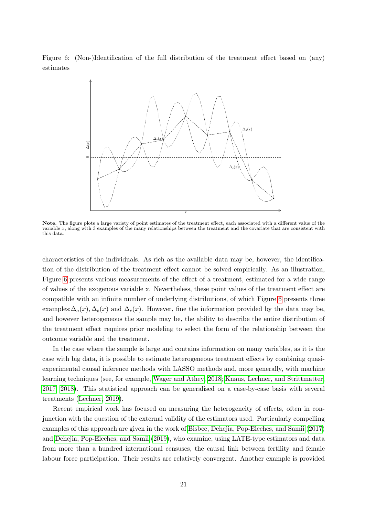Figure 6: (Non-)Identification of the full distribution of the treatment effect based on (any) estimates

<span id="page-22-0"></span>

Note. The figure plots a large variety of point estimates of the treatment effect, each associated with a different value of the variable  $x$ , along with 3 examples of the many relationships between the treatment and the covariate that are consistent with this data.

characteristics of the individuals. As rich as the available data may be, however, the identification of the distribution of the treatment effect cannot be solved empirically. As an illustration, Figure [6](#page-22-0) presents various measurements of the effect of a treatment, estimated for a wide range of values of the exogenous variable x. Nevertheless, these point values of the treatment effect are compatible with an infinite number of underlying distributions, of which Figure [6](#page-22-0) presents three examples: $\Delta_a(x), \Delta_b(x)$  and  $\Delta_c(x)$ . However, fine the information provided by the data may be, and however heterogeneous the sample may be, the ability to describe the entire distribution of the treatment effect requires prior modeling to select the form of the relationship between the outcome variable and the treatment.

In the case where the sample is large and contains information on many variables, as it is the case with big data, it is possible to estimate heterogeneous treatment effects by combining quasiexperimental causal inference methods with LASSO methods and, more generally, with machine learning techniques (see, for example, [Wager and Athey, 2018;](#page-36-3) [Knaus, Lechner, and Strittmatter,](#page-34-7) [2017,](#page-34-7) [2018\)](#page-34-8). This statistical approach can be generalised on a case-by-case basis with several treatments [\(Lechner, 2019\)](#page-34-9).

Recent empirical work has focused on measuring the heterogeneity of effects, often in conjunction with the question of the external validity of the estimators used. Particularly compelling examples of this approach are given in the work of [Bisbee, Dehejia, Pop-Eleches, and Samii](#page-32-9) [\(2017\)](#page-32-9) and [Dehejia, Pop-Eleches, and Samii](#page-32-10) [\(2019\)](#page-32-10), who examine, using LATE-type estimators and data from more than a hundred international censuses, the causal link between fertility and female labour force participation. Their results are relatively convergent. Another example is provided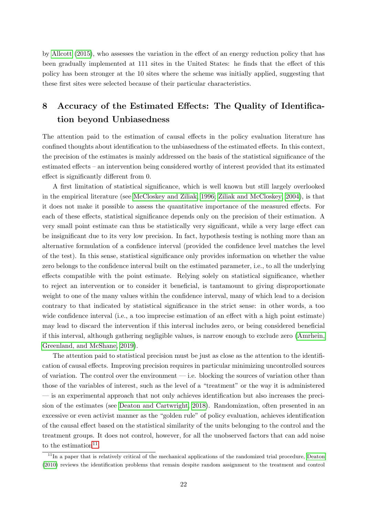by [Allcott](#page-30-6) [\(2015\)](#page-30-6), who assesses the variation in the effect of an energy reduction policy that has been gradually implemented at 111 sites in the United States: he finds that the effect of this policy has been stronger at the 10 sites where the scheme was initially applied, suggesting that these first sites were selected because of their particular characteristics.

# <span id="page-23-0"></span>8 Accuracy of the Estimated Effects: The Quality of Identification beyond Unbiasedness

The attention paid to the estimation of causal effects in the policy evaluation literature has confined thoughts about identification to the unbiasedness of the estimated effects. In this context, the precision of the estimates is mainly addressed on the basis of the statistical significance of the estimated effects – an intervention being considered worthy of interest provided that its estimated effect is significantly different from 0.

A first limitation of statistical significance, which is well known but still largely overlooked in the empirical literature (see [McCloskey and Ziliak, 1996;](#page-34-10) [Ziliak and McCloskey, 2004\)](#page-36-4), is that it does not make it possible to assess the quantitative importance of the measured effects. For each of these effects, statistical significance depends only on the precision of their estimation. A very small point estimate can thus be statistically very significant, while a very large effect can be insignificant due to its very low precision. In fact, hypothesis testing is nothing more than an alternative formulation of a confidence interval (provided the confidence level matches the level of the test). In this sense, statistical significance only provides information on whether the value zero belongs to the confidence interval built on the estimated parameter, i.e., to all the underlying effects compatible with the point estimate. Relying solely on statistical significance, whether to reject an intervention or to consider it beneficial, is tantamount to giving disproportionate weight to one of the many values within the confidence interval, many of which lead to a decision contrary to that indicated by statistical significance in the strict sense: in other words, a too wide confidence interval (i.e., a too imprecise estimation of an effect with a high point estimate) may lead to discard the intervention if this interval includes zero, or being considered beneficial if this interval, although gathering negligible values, is narrow enough to exclude zero [\(Amrhein,](#page-31-12) [Greenland, and McShane, 2019\)](#page-31-12).

The attention paid to statistical precision must be just as close as the attention to the identification of causal effects. Improving precision requires in particular minimizing uncontrolled sources of variation. The control over the environment  $-$  i.e. blocking the sources of variation other than those of the variables of interest, such as the level of a "treatment" or the way it is administered — is an experimental approach that not only achieves identification but also increases the precision of the estimates (see [Deaton and Cartwright, 2018\)](#page-32-11). Randomization, often presented in an excessive or even activist manner as the "golden rule" of policy evaluation, achieves identification of the causal effect based on the statistical similarity of the units belonging to the control and the treatment groups. It does not control, however, for all the unobserved factors that can add noise to the estimation<sup>[11](#page-23-1)</sup>.

<span id="page-23-1"></span><sup>&</sup>lt;sup>11</sup>In a paper that is relatively critical of the mechanical applications of the randomized trial procedure, [Deaton](#page-32-12) [\(2010\)](#page-32-12) reviews the identification problems that remain despite random assignment to the treatment and control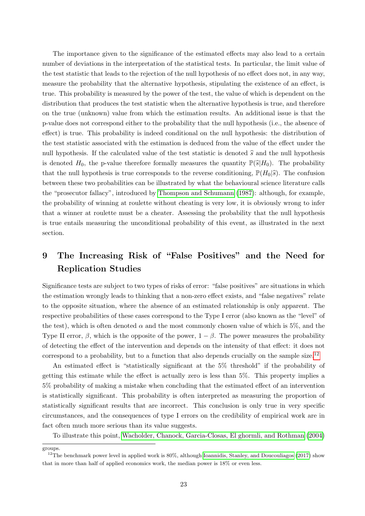The importance given to the significance of the estimated effects may also lead to a certain number of deviations in the interpretation of the statistical tests. In particular, the limit value of the test statistic that leads to the rejection of the null hypothesis of no effect does not, in any way, measure the probability that the alternative hypothesis, stipulating the existence of an effect, is true. This probability is measured by the power of the test, the value of which is dependent on the distribution that produces the test statistic when the alternative hypothesis is true, and therefore on the true (unknown) value from which the estimation results. An additional issue is that the p-value does not correspond either to the probability that the null hypothesis (i.e., the absence of effect) is true. This probability is indeed conditional on the null hypothesis: the distribution of the test statistic associated with the estimation is deduced from the value of the effect under the null hypothesis. If the calculated value of the test statistic is denoted  $\hat{s}$  and the null hypothesis is denoted  $H_0$ , the p-value therefore formally measures the quantity  $\mathbb{P}(\widehat{s}|H_0)$ . The probability that the null hypothesis is true corresponds to the reverse conditioning,  $\mathbb{P}(H_0|\hat{s})$ . The confusion between these two probabilities can be illustrated by what the behavioural science literature calls the "prosecutor fallacy", introduced by [Thompson and Schumann](#page-35-7) [\(1987\)](#page-35-7): although, for example, the probability of winning at roulette without cheating is very low, it is obviously wrong to infer that a winner at roulette must be a cheater. Assessing the probability that the null hypothesis is true entails measuring the unconditional probability of this event, as illustrated in the next section.

# <span id="page-24-0"></span>9 The Increasing Risk of "False Positives" and the Need for Replication Studies

Significance tests are subject to two types of risks of error: "false positives" are situations in which the estimation wrongly leads to thinking that a non-zero effect exists, and "false negatives" relate to the opposite situation, where the absence of an estimated relationship is only apparent. The respective probabilities of these cases correspond to the Type I error (also known as the "level" of the test), which is often denoted  $\alpha$  and the most commonly chosen value of which is 5%, and the Type II error,  $\beta$ , which is the opposite of the power,  $1 - \beta$ . The power measures the probability of detecting the effect of the intervention and depends on the intensity of that effect: it does not correspond to a probability, but to a function that also depends crucially on the sample size.<sup>[12](#page-24-1)</sup>

An estimated effect is "statistically significant at the 5% threshold" if the probability of getting this estimate while the effect is actually zero is less than 5%. This property implies a 5% probability of making a mistake when concluding that the estimated effect of an intervention is statistically significant. This probability is often interpreted as measuring the proportion of statistically significant results that are incorrect. This conclusion is only true in very specific circumstances, and the consequences of type I errors on the credibility of empirical work are in fact often much more serious than its value suggests.

To illustrate this point, [Wacholder, Chanock, Garcia-Closas, El ghormli, and Rothman](#page-36-5) [\(2004\)](#page-36-5)

groups.

<span id="page-24-1"></span> $12$ The benchmark power level in applied work is 80%, although [Ioannidis, Stanley, and Doucouliagos](#page-34-11) [\(2017\)](#page-34-11) show that in more than half of applied economics work, the median power is 18% or even less.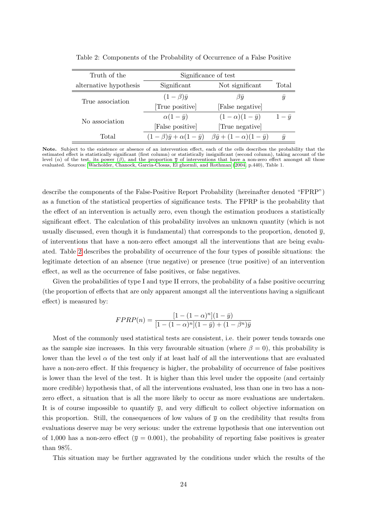| Truth of the           | Significance of test                                 |                                             |                  |
|------------------------|------------------------------------------------------|---------------------------------------------|------------------|
| alternative hypothesis | Significant                                          | Not significant                             | Total            |
| True association       | $(1-\beta)\bar{y}$                                   | $\beta \bar{u}$                             | $\boldsymbol{y}$ |
|                        | True positive                                        | [False negative]                            |                  |
| No association         | $\alpha(1-\bar{y})$                                  | $(1-\alpha)(1-\bar{y})$                     | $1-\bar{y}$      |
|                        | [False positive]                                     | True negative                               |                  |
| Total                  | $(1 - \beta)\overline{y} + \alpha(1 - \overline{y})$ | $\beta \bar{y} + (1 - \alpha)(1 - \bar{y})$ | $\boldsymbol{u}$ |

<span id="page-25-0"></span>Table 2: Components of the Probability of Occurrence of a False Positive

Note. Subject to the existence or absence of an intervention effect, each of the cells describes the probability that the estimated effect is statistically significant (first column) or statistically insignificant (second column), taking account of the level (α) of the test, its power (β), and the proportion  $\bar{y}$  of interventions that have a non-zero effect amongst all those evaluated. Sources: [Wacholder, Chanock, Garcia-Closas, El ghormli, and Rothman](#page-36-5) [\(2004,](#page-36-5) p.440), Table 1.

describe the components of the False-Positive Report Probability (hereinafter denoted "FPRP") as a function of the statistical properties of significance tests. The FPRP is the probability that the effect of an intervention is actually zero, even though the estimation produces a statistically significant effect. The calculation of this probability involves an unknown quantity (which is not usually discussed, even though it is fundamental) that corresponds to the proportion, denoted  $\bar{y}$ , of interventions that have a non-zero effect amongst all the interventions that are being evaluated. Table [2](#page-25-0) describes the probability of occurrence of the four types of possible situations: the legitimate detection of an absence (true negative) or presence (true positive) of an intervention effect, as well as the occurrence of false positives, or false negatives.

Given the probabilities of type I and type II errors, the probability of a false positive occurring (the proportion of effects that are only apparent amongst all the interventions having a significant effect) is measured by:

$$
FPRP(n) = \frac{[1 - (1 - \alpha)^n](1 - \bar{y})}{[1 - (1 - \alpha)^n](1 - \bar{y}) + (1 - \beta^n)\bar{y}}
$$

Most of the commonly used statistical tests are consistent, i.e. their power tends towards one as the sample size increases. In this very favourable situation (where  $\beta = 0$ ), this probability is lower than the level  $\alpha$  of the test only if at least half of all the interventions that are evaluated have a non-zero effect. If this frequency is higher, the probability of occurrence of false positives is lower than the level of the test. It is higher than this level under the opposite (and certainly more credible) hypothesis that, of all the interventions evaluated, less than one in two has a nonzero effect, a situation that is all the more likely to occur as more evaluations are undertaken. It is of course impossible to quantify  $\bar{y}$ , and very difficult to collect objective information on this proportion. Still, the consequences of low values of  $\bar{y}$  on the credibility that results from evaluations deserve may be very serious: under the extreme hypothesis that one intervention out of 1,000 has a non-zero effect ( $\overline{y} = 0.001$ ), the probability of reporting false positives is greater than 98%.

This situation may be further aggravated by the conditions under which the results of the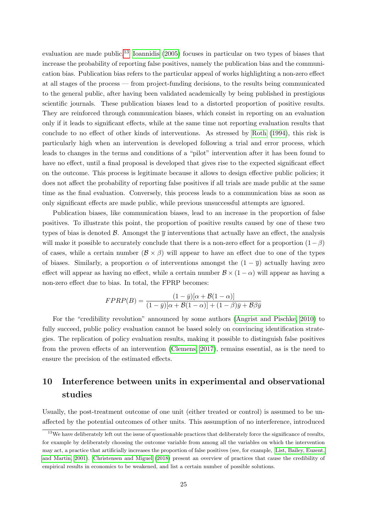evaluation are made public.<sup>[13](#page-26-1)</sup> [Ioannidis](#page-34-12) [\(2005\)](#page-34-12) focuses in particular on two types of biases that increase the probability of reporting false positives, namely the publication bias and the communication bias. Publication bias refers to the particular appeal of works highlighting a non-zero effect at all stages of the process — from project-funding decisions, to the results being communicated to the general public, after having been validated academically by being published in prestigious scientific journals. These publication biases lead to a distorted proportion of positive results. They are reinforced through communication biases, which consist in reporting on an evaluation only if it leads to significant effects, while at the same time not reporting evaluation results that conclude to no effect of other kinds of interventions. As stressed by [Roth](#page-35-8) [\(1994\)](#page-35-8), this risk is particularly high when an intervention is developed following a trial and error process, which leads to changes in the terms and conditions of a "pilot" intervention after it has been found to have no effect, until a final proposal is developed that gives rise to the expected significant effect on the outcome. This process is legitimate because it allows to design effective public policies; it does not affect the probability of reporting false positives if all trials are made public at the same time as the final evaluation. Conversely, this process leads to a communication bias as soon as only significant effects are made public, while previous unsuccessful attempts are ignored.

Publication biases, like communication biases, lead to an increase in the proportion of false positives. To illustrate this point, the proportion of positive results caused by one of these two types of bias is denoted B. Amongst the  $\overline{y}$  interventions that actually have an effect, the analysis will make it possible to accurately conclude that there is a non-zero effect for a proportion  $(1 - \beta)$ of cases, while a certain number  $(\mathcal{B} \times \beta)$  will appear to have an effect due to one of the types of biases. Similarly, a proportion  $\alpha$  of interventions amongst the  $(1 - \overline{y})$  actually having zero effect will appear as having no effect, while a certain number  $\mathcal{B} \times (1 - \alpha)$  will appear as having a non-zero effect due to bias. In total, the FPRP becomes:

$$
FPRP(B) = \frac{(1-\bar{y})[\alpha + \mathcal{B}(1-\alpha)]}{(1-\bar{y})[\alpha + \mathcal{B}(1-\alpha)] + (1-\beta)\bar{y} + \mathcal{B}\beta\bar{y}}
$$

For the "credibility revolution" announced by some authors [\(Angrist and Pischke, 2010\)](#page-31-0) to fully succeed, public policy evaluation cannot be based solely on convincing identification strategies. The replication of policy evaluation results, making it possible to distinguish false positives from the proven effects of an intervention [\(Clemens, 2017\)](#page-32-13), remains essential, as is the need to ensure the precision of the estimated effects.

## <span id="page-26-0"></span>10 Interference between units in experimental and observational studies

Usually, the post-treatment outcome of one unit (either treated or control) is assumed to be unaffected by the potential outcomes of other units. This assumption of no interference, introduced

<span id="page-26-1"></span><sup>&</sup>lt;sup>13</sup>We have deliberately left out the issue of questionable practices that deliberately force the significance of results, for example by deliberately choosing the outcome variable from among all the variables on which the intervention may act, a practice that artificially increases the proportion of false positives (see, for example, [List, Bailey, Euzent,](#page-34-13) [and Martin, 2001\)](#page-34-13). [Christensen and Miguel](#page-32-14) [\(2018\)](#page-32-14) present an overview of practices that cause the credibility of empirical results in economics to be weakened, and list a certain number of possible solutions.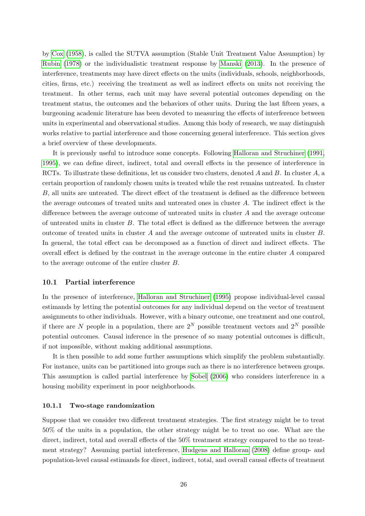by [Cox](#page-32-15) [\(1958\)](#page-32-15), is called the SUTVA assumption (Stable Unit Treatment Value Assumption) by [Rubin](#page-35-9) [\(1978\)](#page-35-9) or the individualistic treatment response by [Manski](#page-34-14) [\(2013\)](#page-34-14). In the presence of interference, treatments may have direct effects on the units (individuals, schools, neighborhoods, cities, firms, etc.) receiving the treatment as well as indirect effects on units not receiving the treatment. In other terms, each unit may have several potential outcomes depending on the treatment status, the outcomes and the behaviors of other units. During the last fifteen years, a burgeoning academic literature has been devoted to measuring the effects of interference between units in experimental and observational studies. Among this body of research, we may distinguish works relative to partial interference and those concerning general interference. This section gives a brief overview of these developments.

It is previously useful to introduce some concepts. Following [Halloran and Struchiner](#page-33-12) [\(1991,](#page-33-12) [1995\)](#page-33-13), we can define direct, indirect, total and overall effects in the presence of interference in RCTs. To illustrate these definitions, let us consider two clusters, denoted A and B. In cluster A, a certain proportion of randomly chosen units is treated while the rest remains untreated. In cluster B, all units are untreated. The direct effect of the treatment is defined as the difference between the average outcomes of treated units and untreated ones in cluster A. The indirect effect is the difference between the average outcome of untreated units in cluster A and the average outcome of untreated units in cluster B. The total effect is defined as the difference between the average outcome of treated units in cluster A and the average outcome of untreated units in cluster B. In general, the total effect can be decomposed as a function of direct and indirect effects. The overall effect is defined by the contrast in the average outcome in the entire cluster A compared to the average outcome of the entire cluster B.

#### 10.1 Partial interference

In the presence of interference, [Halloran and Struchiner](#page-33-13) [\(1995\)](#page-33-13) propose individual-level causal estimands by letting the potential outcomes for any individual depend on the vector of treatment assignments to other individuals. However, with a binary outcome, one treatment and one control, if there are N people in a population, there are  $2^N$  possible treatment vectors and  $2^N$  possible potential outcomes. Causal inference in the presence of so many potential outcomes is difficult, if not impossible, without making additional assumptions.

It is then possible to add some further assumptions which simplify the problem substantially. For instance, units can be partitioned into groups such as there is no interference between groups. This assumption is called partial interference by [Sobel](#page-35-10) [\(2006\)](#page-35-10) who considers interference in a housing mobility experiment in poor neighborhoods.

#### 10.1.1 Two-stage randomization

Suppose that we consider two different treatment strategies. The first strategy might be to treat 50% of the units in a population, the other strategy might be to treat no one. What are the direct, indirect, total and overall effects of the 50% treatment strategy compared to the no treatment strategy? Assuming partial interference, [Hudgens and Halloran](#page-33-14) [\(2008\)](#page-33-14) define group- and population-level causal estimands for direct, indirect, total, and overall causal effects of treatment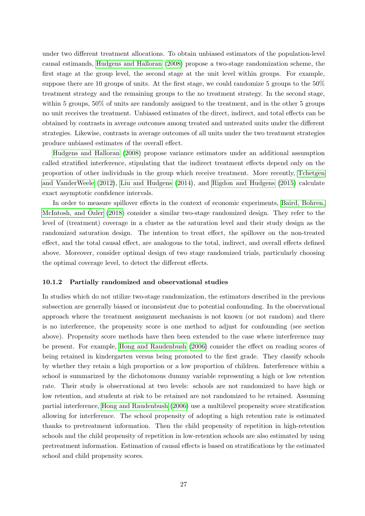under two different treatment allocations. To obtain unbiased estimators of the population-level causal estimands, [Hudgens and Halloran](#page-33-14) [\(2008\)](#page-33-14) propose a two-stage randomization scheme, the first stage at the group level, the second stage at the unit level within groups. For example, suppose there are 10 groups of units. At the first stage, we could randomize 5 groups to the 50% treatment strategy and the remaining groups to the no treatment strategy. In the second stage, within 5 groups, 50% of units are randomly assigned to the treatment, and in the other 5 groups no unit receives the treatment. Unbiased estimates of the direct, indirect, and total effects can be obtained by contrasts in average outcomes among treated and untreated units under the different strategies. Likewise, contrasts in average outcomes of all units under the two treatment strategies produce unbiased estimates of the overall effect.

[Hudgens and Halloran](#page-33-14) [\(2008\)](#page-33-14) propose variance estimators under an additional assumption called stratified interference, stipulating that the indirect treatment effects depend only on the proportion of other individuals in the group which receive treatment. More recently, [Tchetgen](#page-35-11) [and VanderWeele](#page-35-11) [\(2012\)](#page-35-11), [Liu and Hudgens](#page-34-15) [\(2014\)](#page-34-15), and [Rigdon and Hudgens](#page-35-12) [\(2015\)](#page-35-12) calculate exact asymptotic confidence intervals.

In order to measure spillover effects in the context of economic experiments, [Baird, Bohren,](#page-31-13) [McIntosh, and](#page-31-13) Ozler  $(2018)$  consider a similar two-stage randomized design. They refer to the level of (treatment) coverage in a cluster as the saturation level and their study design as the randomized saturation design. The intention to treat effect, the spillover on the non-treated effect, and the total causal effect, are analogous to the total, indirect, and overall effects defined above. Moreover, consider optimal design of two stage randomized trials, particularly choosing the optimal coverage level, to detect the different effects.

#### 10.1.2 Partially randomized and observational studies

In studies which do not utilize two-stage randomization, the estimators described in the previous subsection are generally biased or inconsistent due to potential confounding. In the observational approach where the treatment assignment mechanism is not known (or not random) and there is no interference, the propensity score is one method to adjust for confounding (see section above). Propensity score methods have then been extended to the case where interference may be present. For example, [Hong and Raudenbush](#page-33-15) [\(2006\)](#page-33-15) consider the effect on reading scores of being retained in kindergarten versus being promoted to the first grade. They classify schools by whether they retain a high proportion or a low proportion of children. Interference within a school is summarized by the dichotomous dummy variable representing a high or low retention rate. Their study is observational at two levels: schools are not randomized to have high or low retention, and students at risk to be retained are not randomized to be retained. Assuming partial interference, [Hong and Raudenbush](#page-33-15) [\(2006\)](#page-33-15) use a multilevel propensity score stratification allowing for interference. The school propensity of adopting a high retention rate is estimated thanks to pretreatment information. Then the child propensity of repetition in high-retention schools and the child propensity of repetition in low-retention schools are also estimated by using pretreatment information. Estimation of causal effects is based on stratifications by the estimated school and child propensity scores.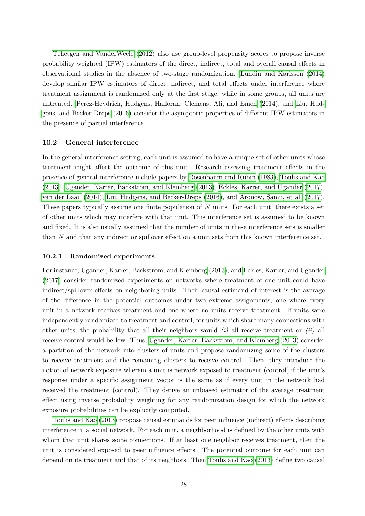[Tchetgen and VanderWeele](#page-35-11) [\(2012\)](#page-35-11) also use group-level propensity scores to propose inverse probability weighted (IPW) estimators of the direct, indirect, total and overall causal effects in observational studies in the absence of two-stage randomization. [Lundin and Karlsson](#page-34-16) [\(2014\)](#page-34-16) develop similar IPW estimators of direct, indirect, and total effects under interference where treatment assignment is randomized only at the first stage, while in some groups, all units are untreated. [Perez-Heydrich, Hudgens, Halloran, Clemens, Ali, and Emch](#page-35-13) [\(2014\)](#page-35-13), and [Liu, Hud](#page-34-17)[gens, and Becker-Dreps](#page-34-17) [\(2016\)](#page-34-17) consider the asymptotic properties of different IPW estimators in the presence of partial interference.

#### 10.2 General interference

In the general interference setting, each unit is assumed to have a unique set of other units whose treatment might affect the outcome of this unit. Research assessing treatment effects in the presence of general interference include papers by [Rosenbaum and Rubin](#page-35-3) [\(1983\)](#page-35-3), [Toulis and Kao](#page-35-14) [\(2013\)](#page-35-14), [Ugander, Karrer, Backstrom, and Kleinberg](#page-35-15) [\(2013\)](#page-35-15), [Eckles, Karrer, and Ugander](#page-32-16) [\(2017\)](#page-32-16), [van der Laan](#page-36-6) [\(2014\)](#page-36-6), [Liu, Hudgens, and Becker-Dreps](#page-34-17) [\(2016\)](#page-34-17), and [Aronow, Samii, et al.](#page-31-14) [\(2017\)](#page-31-14). These papers typically assume one finite population of  $N$  units. For each unit, there exists a set of other units which may interfere with that unit. This interference set is assumed to be known and fixed. It is also usually assumed that the number of units in these interference sets is smaller than N and that any indirect or spillover effect on a unit sets from this known interference set.

#### 10.2.1 Randomized experiments

For instance, [Ugander, Karrer, Backstrom, and Kleinberg](#page-35-15) [\(2013\)](#page-35-15), and [Eckles, Karrer, and Ugander](#page-32-16) [\(2017\)](#page-32-16) consider randomized experiments on networks where treatment of one unit could have indirect/spillover effects on neighboring units. Their causal estimand of interest is the average of the difference in the potential outcomes under two extreme assignments, one where every unit in a network receives treatment and one where no units receive treatment. If units were independently randomized to treatment and control, for units which share many connections with other units, the probability that all their neighbors would  $(i)$  all receive treatment or  $(ii)$  all receive control would be low. Thus, [Ugander, Karrer, Backstrom, and Kleinberg](#page-35-15) [\(2013\)](#page-35-15) consider a partition of the network into clusters of units and propose randomizing some of the clusters to receive treatment and the remaining clusters to receive control. Then, they introduce the notion of network exposure wherein a unit is network exposed to treatment (control) if the unit's response under a specific assignment vector is the same as if every unit in the network had received the treatment (control). They derive an unbiased estimator of the average treatment effect using inverse probability weighting for any randomization design for which the network exposure probabilities can be explicitly computed.

[Toulis and Kao](#page-35-14) [\(2013\)](#page-35-14) propose causal estimands for peer influence (indirect) effects describing interference in a social network. For each unit, a neighborhood is defined by the other units with whom that unit shares some connections. If at least one neighbor receives treatment, then the unit is considered exposed to peer influence effects. The potential outcome for each unit can depend on its treatment and that of its neighbors. Then [Toulis and Kao](#page-35-14) [\(2013\)](#page-35-14) define two causal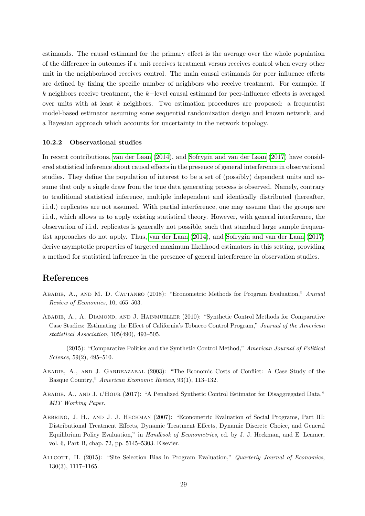estimands. The causal estimand for the primary effect is the average over the whole population of the difference in outcomes if a unit receives treatment versus receives control when every other unit in the neighborhood receives control. The main causal estimands for peer influence effects are defined by fixing the specific number of neighbors who receive treatment. For example, if k neighbors receive treatment, the k−level causal estimand for peer-influence effects is averaged over units with at least  $k$  neighbors. Two estimation procedures are proposed: a frequentist model-based estimator assuming some sequential randomization design and known network, and a Bayesian approach which accounts for uncertainty in the network topology.

#### 10.2.2 Observational studies

In recent contributions, [van der Laan](#page-36-6) [\(2014\)](#page-36-6), and [Sofrygin and van der Laan](#page-35-16) [\(2017\)](#page-35-16) have considered statistical inference about causal effects in the presence of general interference in observational studies. They define the population of interest to be a set of (possibly) dependent units and assume that only a single draw from the true data generating process is observed. Namely, contrary to traditional statistical inference, multiple independent and identically distributed (hereafter, i.i.d.) replicates are not assumed. With partial interference, one may assume that the groups are i.i.d., which allows us to apply existing statistical theory. However, with general interference, the observation of i.i.d. replicates is generally not possible, such that standard large sample frequentist approaches do not apply. Thus, [van der Laan](#page-36-6) [\(2014\)](#page-36-6), and [Sofrygin and van der Laan](#page-35-16) [\(2017\)](#page-35-16) derive asymptotic properties of targeted maximum likelihood estimators in this setting, providing a method for statistical inference in the presence of general interference in observation studies.

## References

- <span id="page-30-1"></span>Abadie, A., and M. D. Cattaneo (2018): "Econometric Methods for Program Evaluation," Annual Review of Economics, 10, 465–503.
- <span id="page-30-3"></span>ABADIE, A., A. DIAMOND, AND J. HAINMUELLER (2010): "Synthetic Control Methods for Comparative Case Studies: Estimating the Effect of California's Tobacco Control Program," Journal of the American statistical Association, 105(490), 493–505.
- <span id="page-30-4"></span>- (2015): "Comparative Politics and the Synthetic Control Method," American Journal of Political Science, 59(2), 495–510.
- <span id="page-30-2"></span>Abadie, A., and J. Gardeazabal (2003): "The Economic Costs of Conflict: A Case Study of the Basque Country," American Economic Review, 93(1), 113–132.
- <span id="page-30-5"></span>Abadie, A., and J. l'Hour (2017): "A Penalized Synthetic Control Estimator for Disaggregated Data," MIT Working Paper.
- <span id="page-30-0"></span>Abbring, J. H., and J. J. Heckman (2007): "Econometric Evaluation of Social Programs, Part III: Distributional Treatment Effects, Dynamic Treatment Effects, Dynamic Discrete Choice, and General Equilibrium Policy Evaluation," in Handbook of Econometrics, ed. by J. J. Heckman, and E. Leamer, vol. 6, Part B, chap. 72, pp. 5145–5303. Elsevier.
- <span id="page-30-6"></span>ALLCOTT, H. (2015): "Site Selection Bias in Program Evaluation," Quarterly Journal of Economics, 130(3), 1117–1165.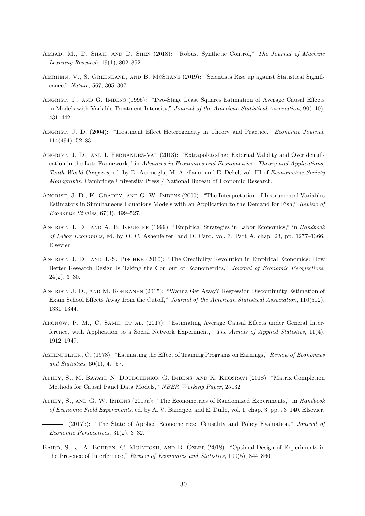- <span id="page-31-10"></span>AMJAD, M., D. SHAH, AND D. SHEN (2018): "Robust Synthetic Control," The Journal of Machine Learning Research, 19(1), 802–852.
- <span id="page-31-12"></span>AMRHEIN, V., S. GREENLAND, AND B. MCSHANE (2019): "Scientists Rise up against Statistical Significance," Nature, 567, 305–307.
- <span id="page-31-5"></span>Angrist, J., and G. Imbens (1995): "Two-Stage Least Squares Estimation of Average Causal Effects in Models with Variable Treatment Intensity," Journal of the American Statistical Association, 90(140), 431–442.
- <span id="page-31-7"></span>Angrist, J. D. (2004): "Treatment Effect Heterogeneity in Theory and Practice," Economic Journal, 114(494), 52–83.
- <span id="page-31-8"></span>Angrist, J. D., and I. Fernandez-Val (2013): "Extrapolate-Ing: External Validity and Overidentification in the Late Framework," in Advances in Economics and Econometrics: Theory and Applications, Tenth World Congress, ed. by D. Acemoglu, M. Arellano, and E. Dekel, vol. III of Econometric Society Monographs. Cambridge University Press / National Bureau of Economic Research.
- <span id="page-31-6"></span>ANGRIST, J. D., K. GRADDY, AND G. W. IMBENS (2000): "The Interpretation of Instrumental Variables Estimators in Simultaneous Equations Models with an Application to the Demand for Fish," Review of Economic Studies, 67(3), 499–527.
- <span id="page-31-1"></span>ANGRIST, J. D., AND A. B. KRUEGER (1999): "Empirical Strategies in Labor Economics," in Handbook of Labor Economics, ed. by O. C. Ashenfelter, and D. Card, vol. 3, Part A, chap. 23, pp. 1277–1366. Elsevier.
- <span id="page-31-0"></span>Angrist, J. D., and J.-S. Pischke (2010): "The Credibility Revolution in Empirical Economics: How Better Research Design Is Taking the Con out of Econometrics," Journal of Economic Perspectives, 24(2), 3–30.
- <span id="page-31-9"></span>Angrist, J. D., and M. Rokkanen (2015): "Wanna Get Away? Regression Discontinuity Estimation of Exam School Effects Away from the Cutoff," Journal of the American Statistical Association, 110(512), 1331–1344.
- <span id="page-31-14"></span>ARONOW, P. M., C. SAMII, ET AL. (2017): "Estimating Average Causal Effects under General Interference, with Application to a Social Network Experiment," The Annals of Applied Statistics, 11(4), 1912–1947.
- <span id="page-31-4"></span>ASHENFELTER, O. (1978): "Estimating the Effect of Training Programs on Earnings," Review of Economics and Statistics,  $60(1)$ ,  $47-57$ .
- <span id="page-31-11"></span>Athey, S., M. Bayati, N. Doudchenko, G. Imbens, and K. Khosravi (2018): "Matrix Completion Methods for Causal Panel Data Models," NBER Working Paper, 25132.
- <span id="page-31-2"></span>ATHEY, S., AND G. W. IMBENS (2017a): "The Econometrics of Randomized Experiments," in Handbook of Economic Field Experiments, ed. by A. V. Banerjee, and E. Duflo, vol. 1, chap. 3, pp. 73–140. Elsevier.
- <span id="page-31-3"></span>(2017b): "The State of Applied Econometrics: Causality and Policy Evaluation," Journal of Economic Perspectives, 31(2), 3–32.
- <span id="page-31-13"></span>BAIRD, S., J. A. BOHREN, C. MCINTOSH, AND B. ÖZLER (2018): "Optimal Design of Experiments in the Presence of Interference," Review of Economics and Statistics, 100(5), 844–860.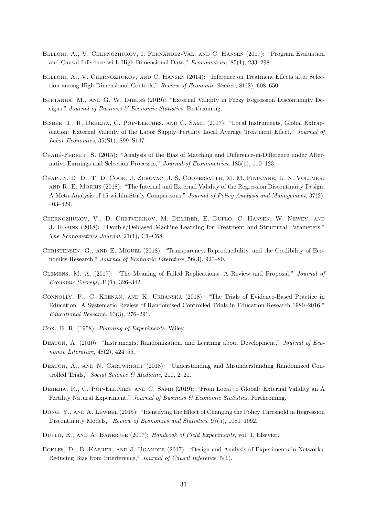- <span id="page-32-8"></span>BELLONI, A., V. CHERNOZHUKOV, I. FERNÁNDEZ-VAL, AND C. HANSEN (2017): "Program Evaluation and Causal Inference with High-Dimensional Data," Econometrica, 85(1), 233–298.
- <span id="page-32-7"></span>BELLONI, A., V. CHERNOZHUKOV, AND C. HANSEN (2014): "Inference on Treatment Effects after Selection among High-Dimensional Controls," Review of Economic Studies, 81(2), 608–650.
- <span id="page-32-4"></span>Bertanha, M., and G. W. Imbens (2019): "External Validity in Fuzzy Regression Discontinuity Designs," Journal of Business & Economic Statistics, Forthcoming.
- <span id="page-32-9"></span>Bisbee, J., R. Dehejia, C. Pop-Eleches, and C. Samii (2017): "Local Instruments, Global Extrapolation: External Validity of the Labor Supply–Fertility Local Average Treatment Effect," Journal of Labor Economics, 35(S1), S99–S147.
- <span id="page-32-2"></span>CHABE-FERRET, S. (2015): "Analysis of the Bias of Matching and Difference-in-Difference under Alternative Earnings and Selection Processes," Journal of Econometrics, 185(1), 110–123.
- <span id="page-32-3"></span>Chaplin, D. D., T. D. Cook, J. Zurovac, J. S. Coopersmith, M. M. Finucane, L. N. Vollmer, and R. E. Morris (2018): "The Internal and External Validity of the Regression Discontinuity Design: A Meta-Analysis of 15 within-Study Comparisons," Journal of Policy Analysis and Management, 37(2), 403–429.
- <span id="page-32-6"></span>Chernozhukov, V., D. Chetverikov, M. Demirer, E. Duflo, C. Hansen, W. Newey, and J. Robins (2018): "Double/Debiased Machine Learning for Treatment and Structural Parameters," The Econometrics Journal, 21(1), C1–C68.
- <span id="page-32-14"></span>Christensen, G., and E. Miguel (2018): "Transparency, Reproducibility, and the Credibility of Economics Research," Journal of Economic Literature, 56(3), 920–80.
- <span id="page-32-13"></span>Clemens, M. A. (2017): "The Meaning of Failed Replications: A Review and Proposal," Journal of Economic Surveys, 31(1), 326–342.
- <span id="page-32-1"></span>Connolly, P., C. Keenan, and K. Urbanska (2018): "The Trials of Evidence-Based Practice in Education: A Systematic Review of Randomised Controlled Trials in Education Research 1980–2016," Educational Research, 60(3), 276–291.
- <span id="page-32-15"></span>Cox, D. R. (1958): Planning of Experiments. Wiley.
- <span id="page-32-12"></span>DEATON, A. (2010): "Instruments, Randomization, and Learning about Development," Journal of Economic Literature, 48(2), 424–55.
- <span id="page-32-11"></span>DEATON, A., AND N. CARTWRIGHT (2018): "Understanding and Misunderstanding Randomized Controlled Trials," Social Science & Medicine, 210, 2–21.
- <span id="page-32-10"></span>DEHEJIA, R., C. POP-ELECHES, AND C. SAMII (2019): "From Local to Global: External Validity an A Fertility Natural Experiment," Journal of Business  $\mathcal C$  Economic Statistics, Forthcoming.
- <span id="page-32-5"></span>Dong, Y., AND A. LEWBEL (2015): "Identifying the Effect of Changing the Policy Threshold in Regression Discontinuity Models," Review of Economics and Statistics, 97(5), 1081-1092.
- <span id="page-32-0"></span>DUFLO, E., AND A. BANERJEE (2017): Handbook of Field Experiments, vol. 1. Elsevier.
- <span id="page-32-16"></span>ECKLES, D., B. KARRER, AND J. UGANDER (2017): "Design and Analysis of Experiments in Networks: Reducing Bias from Interference," Journal of Causal Inference, 5(1).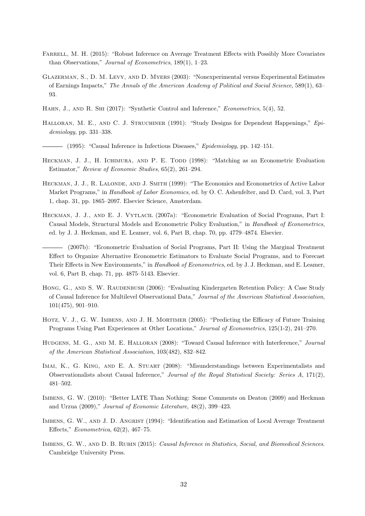- <span id="page-33-11"></span>FARRELL, M. H. (2015): "Robust Inference on Average Treatment Effects with Possibly More Covariates than Observations," Journal of Econometrics, 189(1), 1–23.
- <span id="page-33-4"></span>Glazerman, S., D. M. Levy, and D. Myers (2003): "Nonexperimental versus Experimental Estimates of Earnings Impacts," The Annals of the American Academy of Political and Social Science, 589(1), 63– 93.
- <span id="page-33-10"></span>HAHN, J., AND R. SHI (2017): "Synthetic Control and Inference," *Econometrics*, 5(4), 52.
- <span id="page-33-13"></span><span id="page-33-12"></span>HALLORAN, M. E., AND C. J. STRUCHINER (1991): "Study Designs for Dependent Happenings," Epidemiology, pp. 331–338.
	- (1995): "Causal Inference in Infectious Diseases," Evidemiology, pp. 142–151.
- <span id="page-33-5"></span>HECKMAN, J. J., H. ICHIMURA, AND P. E. TODD (1998): "Matching as an Econometric Evaluation Estimator," Review of Economic Studies, 65(2), 261–294.
- <span id="page-33-1"></span>HECKMAN, J. J., R. LALONDE, AND J. SMITH (1999): "The Economics and Econometrics of Active Labor Market Programs," in *Handbook of Labor Economics*, ed. by O. C. Ashenfelter, and D. Card, vol. 3, Part 1, chap. 31, pp. 1865–2097. Elsevier Science, Amsterdam.
- <span id="page-33-2"></span>HECKMAN, J. J., AND E. J. VYTLACIL (2007a): "Econometric Evaluation of Social Programs, Part I: Causal Models, Structural Models and Econometric Policy Evaluation," in Handbook of Econometrics, ed. by J. J. Heckman, and E. Leamer, vol. 6, Part B, chap. 70, pp. 4779–4874. Elsevier.
- <span id="page-33-3"></span>(2007b): "Econometric Evaluation of Social Programs, Part II: Using the Marginal Treatment Effect to Organize Alternative Econometric Estimators to Evaluate Social Programs, and to Forecast Their Effects in New Environments," in Handbook of Econometrics, ed. by J. J. Heckman, and E. Leamer, vol. 6, Part B, chap. 71, pp. 4875–5143. Elsevier.
- <span id="page-33-15"></span>HONG, G., AND S. W. RAUDENBUSH (2006): "Evaluating Kindergarten Retention Policy: A Case Study of Causal Inference for Multilevel Observational Data," Journal of the American Statistical Association, 101(475), 901–910.
- <span id="page-33-7"></span>HOTZ, V. J., G. W. IMBENS, AND J. H. MORTIMER (2005): "Predicting the Efficacy of Future Training Programs Using Past Experiences at Other Locations," Journal of Econometrics, 125(1-2), 241–270.
- <span id="page-33-14"></span>HUDGENS, M. G., AND M. E. HALLORAN (2008): "Toward Causal Inference with Interference," Journal of the American Statistical Association, 103(482), 832–842.
- <span id="page-33-9"></span>IMAI, K., G. KING, AND E. A. STUART (2008): "Misunderstandings between Experimentalists and Observationalists about Causal Inference," Journal of the Royal Statistical Society: Series A, 171(2), 481–502.
- <span id="page-33-8"></span>Imbens, G. W. (2010): "Better LATE Than Nothing: Some Comments on Deaton (2009) and Heckman and Urzua (2009)," Journal of Economic Literature, 48(2), 399–423.
- <span id="page-33-6"></span>IMBENS, G. W., AND J. D. ANGRIST (1994): "Identification and Estimation of Local Average Treatment Effects," Econometrica, 62(2), 467–75.
- <span id="page-33-0"></span>Imbens, G. W., and D. B. Rubin (2015): Causal Inference in Statistics, Social, and Biomedical Sciences. Cambridge University Press.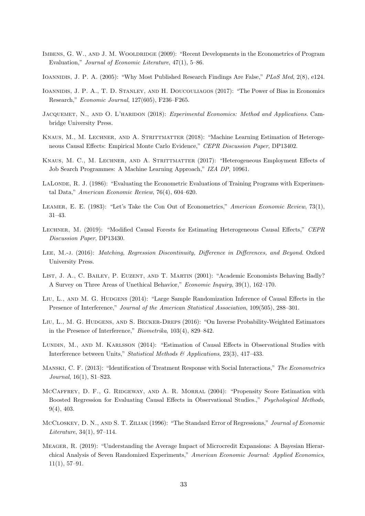- <span id="page-34-1"></span>IMBENS, G. W., AND J. M. WOOLDRIDGE (2009): "Recent Developments in the Econometrics of Program Evaluation," Journal of Economic Literature, 47(1), 5–86.
- <span id="page-34-12"></span>IOANNIDIS, J. P. A. (2005): "Why Most Published Research Findings Are False," PLoS Med, 2(8), e124.
- <span id="page-34-11"></span>Ioannidis, J. P. A., T. D. Stanley, and H. Doucouliagos (2017): "The Power of Bias in Economics Research," Economic Journal, 127(605), F236–F265.
- <span id="page-34-2"></span>JACQUEMET, N., AND O. L'HARIDON (2018): Experimental Economics: Method and Applications. Cambridge University Press.
- <span id="page-34-8"></span>KNAUS, M., M. LECHNER, AND A. STRITTMATTER (2018): "Machine Learning Estimation of Heterogeneous Causal Effects: Empirical Monte Carlo Evidence," CEPR Discussion Paper, DP13402.
- <span id="page-34-7"></span>KNAUS, M. C., M. LECHNER, AND A. STRITTMATTER (2017): "Heterogeneous Employment Effects of Job Search Programmes: A Machine Learning Approach," IZA DP, 10961.
- <span id="page-34-3"></span>LALONDE, R. J. (1986): "Evaluating the Econometric Evaluations of Training Programs with Experimental Data," American Economic Review, 76(4), 604–620.
- <span id="page-34-6"></span>LEAMER, E. E. (1983): "Let's Take the Con Out of Econometrics," American Economic Review, 73(1), 31–43.
- <span id="page-34-9"></span>LECHNER, M. (2019): "Modified Causal Forests for Estimating Heterogeneous Causal Effects," CEPR Discussion Paper, DP13430.
- <span id="page-34-0"></span>LEE, M.-J. (2016): *Matching, Regression Discontinuity, Difference in Differences, and Beyond.* Oxford University Press.
- <span id="page-34-13"></span>LIST, J. A., C. BAILEY, P. EUZENT, AND T. MARTIN (2001): "Academic Economists Behaving Badly? A Survey on Three Areas of Unethical Behavior," Economic Inquiry, 39(1), 162–170.
- <span id="page-34-15"></span>LIU, L., AND M. G. HUDGENS (2014): "Large Sample Randomization Inference of Causal Effects in the Presence of Interference," Journal of the American Statistical Association, 109(505), 288–301.
- <span id="page-34-17"></span>Liu, L., M. G. Hudgens, and S. Becker-Dreps (2016): "On Inverse Probability-Weighted Estimators in the Presence of Interference," Biometrika, 103(4), 829–842.
- <span id="page-34-16"></span>LUNDIN, M., AND M. KARLSSON (2014): "Estimation of Causal Effects in Observational Studies with Interference between Units," Statistical Methods & Applications, 23(3), 417–433.
- <span id="page-34-14"></span>Manski, C. F. (2013): "Identification of Treatment Response with Social Interactions," The Econometrics Journal, 16(1), S1–S23.
- <span id="page-34-5"></span>McCaffrey, D. F., G. Ridgeway, and A. R. Morral (2004): "Propensity Score Estimation with Boosted Regression for Evaluating Causal Effects in Observational Studies.," Psychological Methods, 9(4), 403.
- <span id="page-34-10"></span>McCloskey, D. N., and S. T. Ziliak (1996): "The Standard Error of Regressions," Journal of Economic Literature, 34(1), 97–114.
- <span id="page-34-4"></span>Meager, R. (2019): "Understanding the Average Impact of Microcredit Expansions: A Bayesian Hierarchical Analysis of Seven Randomized Experiments," American Economic Journal: Applied Economics,  $11(1), 57-91.$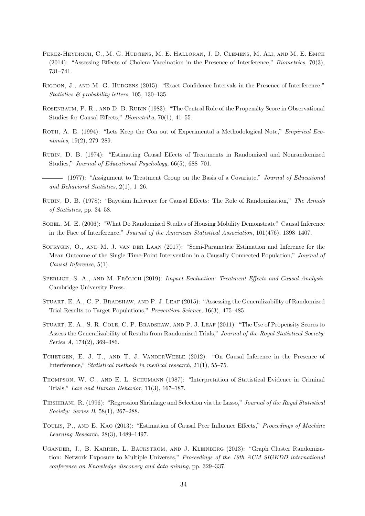- <span id="page-35-13"></span>PEREZ-HEYDRICH, C., M. G. HUDGENS, M. E. HALLORAN, J. D. CLEMENS, M. ALI, AND M. E. EMCH (2014): "Assessing Effects of Cholera Vaccination in the Presence of Interference," Biometrics, 70(3), 731–741.
- <span id="page-35-12"></span>Rigdon, J., and M. G. Hudgens (2015): "Exact Confidence Intervals in the Presence of Interference," Statistics & probability letters, 105, 130–135.
- <span id="page-35-3"></span>Rosenbaum, P. R., and D. B. Rubin (1983): "The Central Role of the Propensity Score in Observational Studies for Causal Effects," Biometrika, 70(1), 41–55.
- <span id="page-35-8"></span>ROTH, A. E. (1994): "Lets Keep the Con out of Experimental a Methodological Note," *Empirical Eco*nomics, 19(2), 279–289.
- <span id="page-35-1"></span>Rubin, D. B. (1974): "Estimating Causal Effects of Treatments in Randomized and Nonrandomized Studies," Journal of Educational Psychology, 66(5), 688–701.
- <span id="page-35-2"></span>- (1977): "Assignment to Treatment Group on the Basis of a Covariate," Journal of Educational and Behavioral Statistics, 2(1), 1–26.
- <span id="page-35-9"></span>Rubin, D. B. (1978): "Bayesian Inference for Causal Effects: The Role of Randomization," The Annals of Statistics, pp. 34–58.
- <span id="page-35-10"></span>SOBEL, M. E. (2006): "What Do Randomized Studies of Housing Mobility Demonstrate? Causal Inference in the Face of Interference," Journal of the American Statistical Association, 101(476), 1398–1407.
- <span id="page-35-16"></span>SOFRYGIN, O., AND M. J. VAN DER LAAN (2017): "Semi-Parametric Estimation and Inference for the Mean Outcome of the Single Time-Point Intervention in a Causally Connected Population," Journal of Causal Inference, 5(1).
- <span id="page-35-0"></span>SPERLICH, S. A., AND M. FRÖLICH (2019): Impact Evaluation: Treatment Effects and Causal Analysis. Cambridge University Press.
- <span id="page-35-5"></span>STUART, E. A., C. P. BRADSHAW, AND P. J. LEAF (2015): "Assessing the Generalizability of Randomized Trial Results to Target Populations," Prevention Science, 16(3), 475–485.
- <span id="page-35-4"></span>STUART, E. A., S. R. COLE, C. P. BRADSHAW, AND P. J. LEAF (2011): "The Use of Propensity Scores to Assess the Generalizability of Results from Randomized Trials," Journal of the Royal Statistical Society: Series A, 174(2), 369–386.
- <span id="page-35-11"></span>TCHETGEN, E. J. T., AND T. J. VANDERWEELE (2012): "On Causal Inference in the Presence of Interference," Statistical methods in medical research, 21(1), 55–75.
- <span id="page-35-7"></span>Thompson, W. C., and E. L. Schumann (1987): "Interpretation of Statistical Evidence in Criminal Trials," Law and Human Behavior, 11(3), 167–187.
- <span id="page-35-6"></span>Tibshirani, R. (1996): "Regression Shrinkage and Selection via the Lasso," Journal of the Royal Statistical Society: Series B, 58(1), 267–288.
- <span id="page-35-14"></span>TOULIS, P., AND E. KAO (2013): "Estimation of Causal Peer Influence Effects," Proceedings of Machine Learning Research, 28(3), 1489–1497.
- <span id="page-35-15"></span>Ugander, J., B. Karrer, L. Backstrom, and J. Kleinberg (2013): "Graph Cluster Randomization: Network Exposure to Multiple Universes," Proceedings of the 19th ACM SIGKDD international conference on Knowledge discovery and data mining, pp. 329–337.